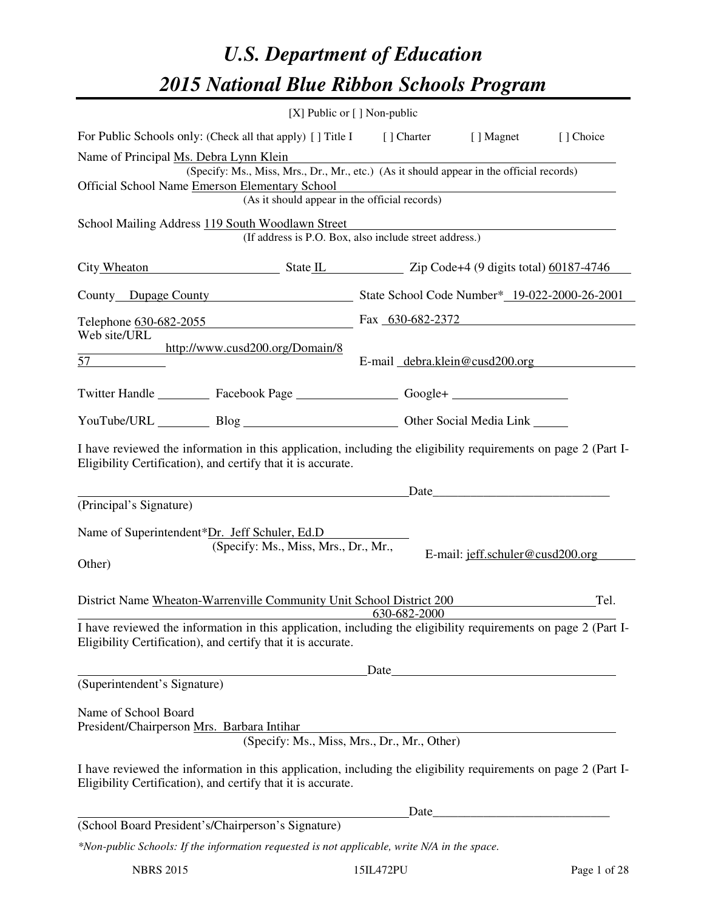# *U.S. Department of Education 2015 National Blue Ribbon Schools Program*

|                                                                                                                                                                                |                                                                                          | [X] Public or $[$ ] Non-public                                                                                                                                                                                                |                                  |           |  |  |
|--------------------------------------------------------------------------------------------------------------------------------------------------------------------------------|------------------------------------------------------------------------------------------|-------------------------------------------------------------------------------------------------------------------------------------------------------------------------------------------------------------------------------|----------------------------------|-----------|--|--|
| For Public Schools only: (Check all that apply) [] Title I [] Charter [] Magnet                                                                                                |                                                                                          |                                                                                                                                                                                                                               |                                  | [] Choice |  |  |
| Name of Principal Ms. Debra Lynn Klein                                                                                                                                         |                                                                                          |                                                                                                                                                                                                                               |                                  |           |  |  |
|                                                                                                                                                                                | (Specify: Ms., Miss, Mrs., Dr., Mr., etc.) (As it should appear in the official records) |                                                                                                                                                                                                                               |                                  |           |  |  |
| Official School Name Emerson Elementary School<br>(As it should appear in the official records)                                                                                |                                                                                          |                                                                                                                                                                                                                               |                                  |           |  |  |
|                                                                                                                                                                                |                                                                                          |                                                                                                                                                                                                                               |                                  |           |  |  |
| School Mailing Address 119 South Woodlawn Street                                                                                                                               | (If address is P.O. Box, also include street address.)                                   |                                                                                                                                                                                                                               |                                  |           |  |  |
| City Wheaton State IL Zip Code+4 (9 digits total) 60187-4746                                                                                                                   |                                                                                          |                                                                                                                                                                                                                               |                                  |           |  |  |
| County Dupage County State School Code Number* 19-022-2000-26-2001                                                                                                             |                                                                                          |                                                                                                                                                                                                                               |                                  |           |  |  |
| Telephone 630-682-2055<br>Fax 630-682-2372                                                                                                                                     |                                                                                          |                                                                                                                                                                                                                               |                                  |           |  |  |
| Web site/URL                                                                                                                                                                   |                                                                                          |                                                                                                                                                                                                                               |                                  |           |  |  |
| http://www.cusd200.org/Domain/8<br>$57 \quad \qquad \qquad$                                                                                                                    |                                                                                          | E-mail debra.klein@cusd200.org                                                                                                                                                                                                |                                  |           |  |  |
| Twitter Handle ___________ Facebook Page ___________________ Google+ ____________                                                                                              |                                                                                          |                                                                                                                                                                                                                               |                                  |           |  |  |
| YouTube/URL Blog Blog Discount Other Social Media Link                                                                                                                         |                                                                                          |                                                                                                                                                                                                                               |                                  |           |  |  |
| I have reviewed the information in this application, including the eligibility requirements on page 2 (Part I-<br>Eligibility Certification), and certify that it is accurate. |                                                                                          |                                                                                                                                                                                                                               |                                  |           |  |  |
| (Principal's Signature)                                                                                                                                                        | <u> 1980 - Johann Barnett, fransk politiker (</u>                                        |                                                                                                                                                                                                                               |                                  |           |  |  |
|                                                                                                                                                                                |                                                                                          |                                                                                                                                                                                                                               |                                  |           |  |  |
| Name of Superintendent*Dr. Jeff Schuler, Ed.D                                                                                                                                  |                                                                                          |                                                                                                                                                                                                                               |                                  |           |  |  |
|                                                                                                                                                                                | (Specify: Ms., Miss, Mrs., Dr., Mr.,                                                     |                                                                                                                                                                                                                               | E-mail: jeff.schuler@cusd200.org |           |  |  |
| Other)                                                                                                                                                                         |                                                                                          |                                                                                                                                                                                                                               |                                  |           |  |  |
|                                                                                                                                                                                |                                                                                          |                                                                                                                                                                                                                               |                                  |           |  |  |
| District Name Wheaton-Warrenville Community Unit School District 200                                                                                                           |                                                                                          | 630-682-2000                                                                                                                                                                                                                  |                                  | Tel.      |  |  |
| I have reviewed the information in this application, including the eligibility requirements on page 2 (Part I-                                                                 |                                                                                          |                                                                                                                                                                                                                               |                                  |           |  |  |
| Eligibility Certification), and certify that it is accurate.                                                                                                                   |                                                                                          |                                                                                                                                                                                                                               |                                  |           |  |  |
|                                                                                                                                                                                |                                                                                          |                                                                                                                                                                                                                               |                                  |           |  |  |
| (Superintendent's Signature)                                                                                                                                                   |                                                                                          | Date experience and the second service of the service of the service of the service of the service of the service of the service of the service of the service of the service of the service of the service of the service of |                                  |           |  |  |
|                                                                                                                                                                                |                                                                                          |                                                                                                                                                                                                                               |                                  |           |  |  |
| Name of School Board                                                                                                                                                           |                                                                                          |                                                                                                                                                                                                                               |                                  |           |  |  |
| President/Chairperson Mrs. Barbara Intihar                                                                                                                                     |                                                                                          |                                                                                                                                                                                                                               |                                  |           |  |  |
|                                                                                                                                                                                | (Specify: Ms., Miss, Mrs., Dr., Mr., Other)                                              |                                                                                                                                                                                                                               |                                  |           |  |  |
| I have reviewed the information in this application, including the eligibility requirements on page 2 (Part I-<br>Eligibility Certification), and certify that it is accurate. |                                                                                          |                                                                                                                                                                                                                               |                                  |           |  |  |
|                                                                                                                                                                                |                                                                                          | Date                                                                                                                                                                                                                          |                                  |           |  |  |
| (School Board President's/Chairperson's Signature)                                                                                                                             |                                                                                          |                                                                                                                                                                                                                               |                                  |           |  |  |
| *Non-public Schools: If the information requested is not applicable, write N/A in the space.                                                                                   |                                                                                          |                                                                                                                                                                                                                               |                                  |           |  |  |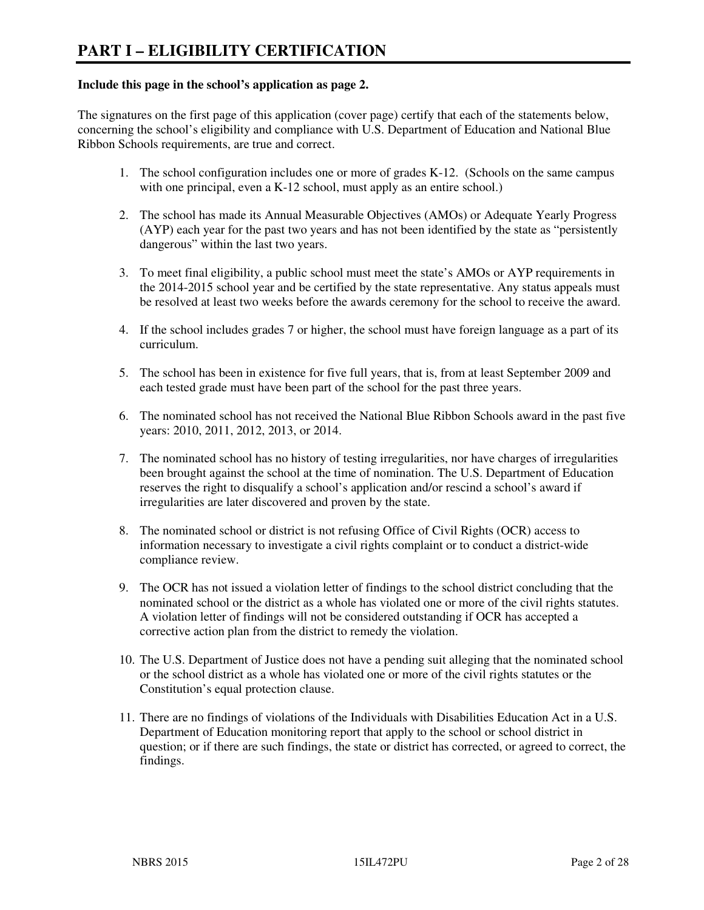#### **Include this page in the school's application as page 2.**

The signatures on the first page of this application (cover page) certify that each of the statements below, concerning the school's eligibility and compliance with U.S. Department of Education and National Blue Ribbon Schools requirements, are true and correct.

- 1. The school configuration includes one or more of grades K-12. (Schools on the same campus with one principal, even a K-12 school, must apply as an entire school.)
- 2. The school has made its Annual Measurable Objectives (AMOs) or Adequate Yearly Progress (AYP) each year for the past two years and has not been identified by the state as "persistently dangerous" within the last two years.
- 3. To meet final eligibility, a public school must meet the state's AMOs or AYP requirements in the 2014-2015 school year and be certified by the state representative. Any status appeals must be resolved at least two weeks before the awards ceremony for the school to receive the award.
- 4. If the school includes grades 7 or higher, the school must have foreign language as a part of its curriculum.
- 5. The school has been in existence for five full years, that is, from at least September 2009 and each tested grade must have been part of the school for the past three years.
- 6. The nominated school has not received the National Blue Ribbon Schools award in the past five years: 2010, 2011, 2012, 2013, or 2014.
- 7. The nominated school has no history of testing irregularities, nor have charges of irregularities been brought against the school at the time of nomination. The U.S. Department of Education reserves the right to disqualify a school's application and/or rescind a school's award if irregularities are later discovered and proven by the state.
- 8. The nominated school or district is not refusing Office of Civil Rights (OCR) access to information necessary to investigate a civil rights complaint or to conduct a district-wide compliance review.
- 9. The OCR has not issued a violation letter of findings to the school district concluding that the nominated school or the district as a whole has violated one or more of the civil rights statutes. A violation letter of findings will not be considered outstanding if OCR has accepted a corrective action plan from the district to remedy the violation.
- 10. The U.S. Department of Justice does not have a pending suit alleging that the nominated school or the school district as a whole has violated one or more of the civil rights statutes or the Constitution's equal protection clause.
- 11. There are no findings of violations of the Individuals with Disabilities Education Act in a U.S. Department of Education monitoring report that apply to the school or school district in question; or if there are such findings, the state or district has corrected, or agreed to correct, the findings.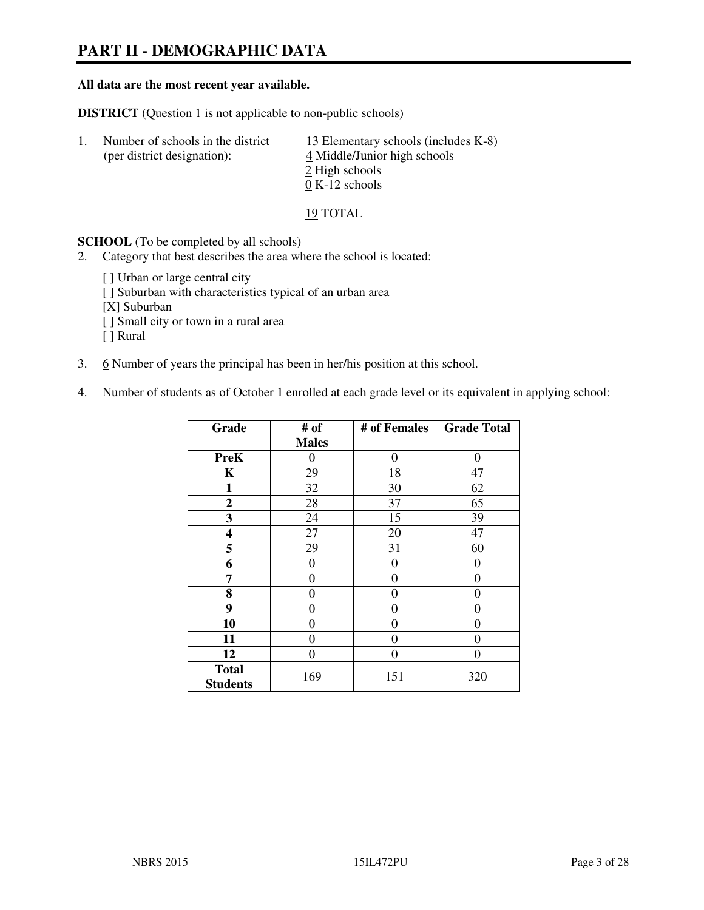# **PART II - DEMOGRAPHIC DATA**

#### **All data are the most recent year available.**

**DISTRICT** (Question 1 is not applicable to non-public schools)

| Number of schools in the district<br>(per district designation): | 13 Elementary schools (includes K-8)<br>4 Middle/Junior high schools<br>2 High schools |
|------------------------------------------------------------------|----------------------------------------------------------------------------------------|
|                                                                  | $0 K-12$ schools                                                                       |

19 TOTAL

**SCHOOL** (To be completed by all schools)

- 2. Category that best describes the area where the school is located:
	- [ ] Urban or large central city
	- [ ] Suburban with characteristics typical of an urban area
	- [X] Suburban
	- [ ] Small city or town in a rural area
	- [ ] Rural
- 3. 6 Number of years the principal has been in her/his position at this school.
- 4. Number of students as of October 1 enrolled at each grade level or its equivalent in applying school:

| Grade                           | # of         | # of Females | <b>Grade Total</b> |
|---------------------------------|--------------|--------------|--------------------|
|                                 | <b>Males</b> |              |                    |
| <b>PreK</b>                     | $\theta$     | $\theta$     | $\theta$           |
| K                               | 29           | 18           | 47                 |
| 1                               | 32           | 30           | 62                 |
| $\mathbf{2}$                    | 28           | 37           | 65                 |
| 3                               | 24           | 15           | 39                 |
| 4                               | 27           | 20           | 47                 |
| 5                               | 29           | 31           | 60                 |
| 6                               | 0            | 0            | $\theta$           |
| 7                               | 0            | $\Omega$     | 0                  |
| 8                               | 0            | 0            | 0                  |
| 9                               | $\theta$     | 0            | 0                  |
| 10                              | 0            | 0            | 0                  |
| 11                              | 0            | 0            | $\theta$           |
| 12                              | 0            | 0            | 0                  |
| <b>Total</b><br><b>Students</b> | 169          | 151          | 320                |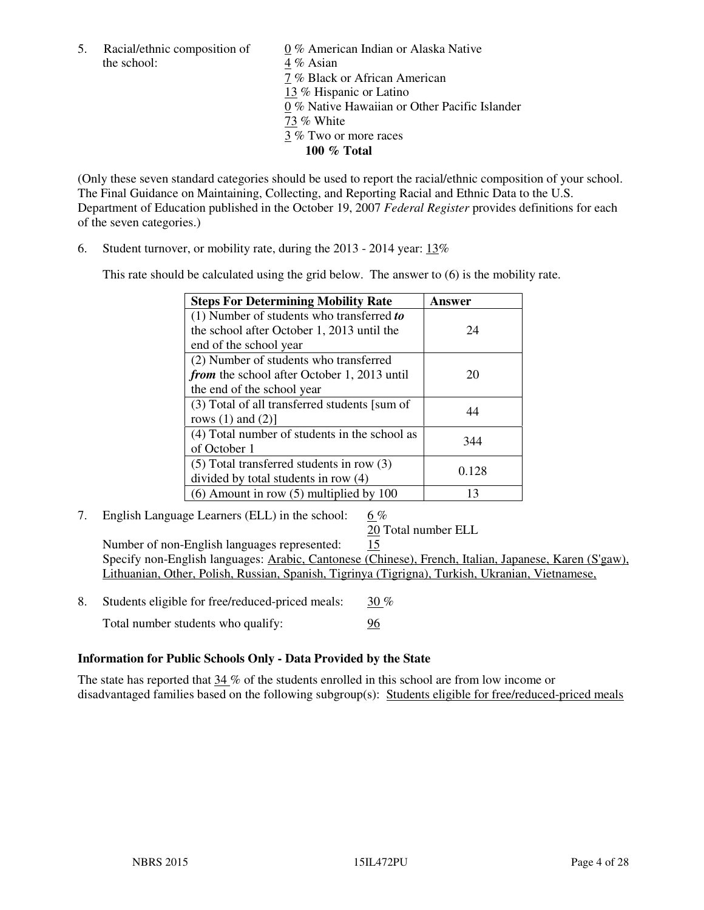the school:  $4\%$  Asian

5. Racial/ethnic composition of 0 % American Indian or Alaska Native 7 % Black or African American 13 % Hispanic or Latino 0 % Native Hawaiian or Other Pacific Islander 73 % White 3 % Two or more races **100 % Total** 

(Only these seven standard categories should be used to report the racial/ethnic composition of your school. The Final Guidance on Maintaining, Collecting, and Reporting Racial and Ethnic Data to the U.S. Department of Education published in the October 19, 2007 *Federal Register* provides definitions for each of the seven categories.)

6. Student turnover, or mobility rate, during the 2013 - 2014 year: 13%

This rate should be calculated using the grid below. The answer to (6) is the mobility rate.

| <b>Steps For Determining Mobility Rate</b>         | Answer |
|----------------------------------------------------|--------|
| $(1)$ Number of students who transferred to        |        |
| the school after October 1, 2013 until the         | 24     |
| end of the school year                             |        |
| (2) Number of students who transferred             |        |
| <i>from</i> the school after October 1, 2013 until | 20     |
| the end of the school year                         |        |
| (3) Total of all transferred students [sum of      | 44     |
| rows $(1)$ and $(2)$ ]                             |        |
| (4) Total number of students in the school as      | 344    |
| of October 1                                       |        |
| $(5)$ Total transferred students in row $(3)$      | 0.128  |
| divided by total students in row (4)               |        |
| $(6)$ Amount in row $(5)$ multiplied by 100        | 13     |

7. English Language Learners (ELL) in the school: 6 %

20 Total number ELL

 Number of non-English languages represented: 15 Specify non-English languages: Arabic, Cantonese (Chinese), French, Italian, Japanese, Karen (S'gaw), Lithuanian, Other, Polish, Russian, Spanish, Tigrinya (Tigrigna), Turkish, Ukranian, Vietnamese,

- 8. Students eligible for free/reduced-priced meals: 30 %
	- Total number students who qualify: 96

#### **Information for Public Schools Only - Data Provided by the State**

The state has reported that  $34\%$  of the students enrolled in this school are from low income or disadvantaged families based on the following subgroup(s): Students eligible for free/reduced-priced meals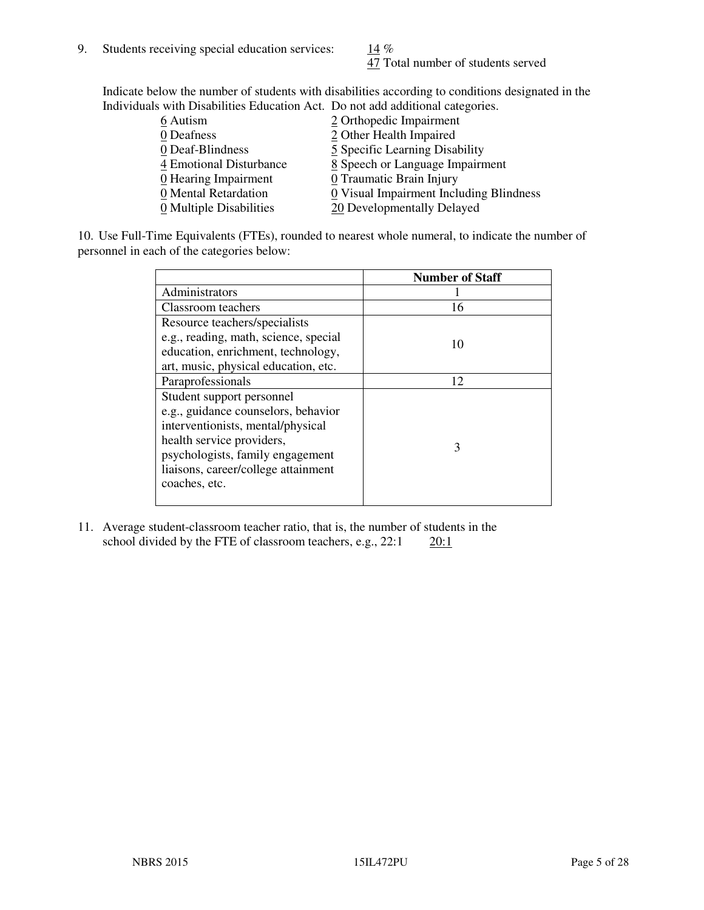47 Total number of students served

Indicate below the number of students with disabilities according to conditions designated in the Individuals with Disabilities Education Act. Do not add additional categories.

| 6 Autism                           | 2 Orthopedic Impairment                 |
|------------------------------------|-----------------------------------------|
| 0 Deafness                         | 2 Other Health Impaired                 |
| 0 Deaf-Blindness                   | 5 Specific Learning Disability          |
| 4 Emotional Disturbance            | 8 Speech or Language Impairment         |
| $\underline{0}$ Hearing Impairment | 0 Traumatic Brain Injury                |
| 0 Mental Retardation               | 0 Visual Impairment Including Blindness |
| 0 Multiple Disabilities            | 20 Developmentally Delayed              |
|                                    |                                         |

10. Use Full-Time Equivalents (FTEs), rounded to nearest whole numeral, to indicate the number of personnel in each of the categories below:

|                                       | <b>Number of Staff</b> |
|---------------------------------------|------------------------|
| Administrators                        |                        |
| Classroom teachers                    | 16                     |
| Resource teachers/specialists         |                        |
| e.g., reading, math, science, special | 10                     |
| education, enrichment, technology,    |                        |
| art, music, physical education, etc.  |                        |
| Paraprofessionals                     | 12                     |
| Student support personnel             |                        |
| e.g., guidance counselors, behavior   |                        |
| interventionists, mental/physical     |                        |
| health service providers,             | $\mathcal{F}$          |
| psychologists, family engagement      |                        |
| liaisons, career/college attainment   |                        |
| coaches, etc.                         |                        |
|                                       |                        |

11. Average student-classroom teacher ratio, that is, the number of students in the school divided by the FTE of classroom teachers, e.g.,  $22:1$   $20:1$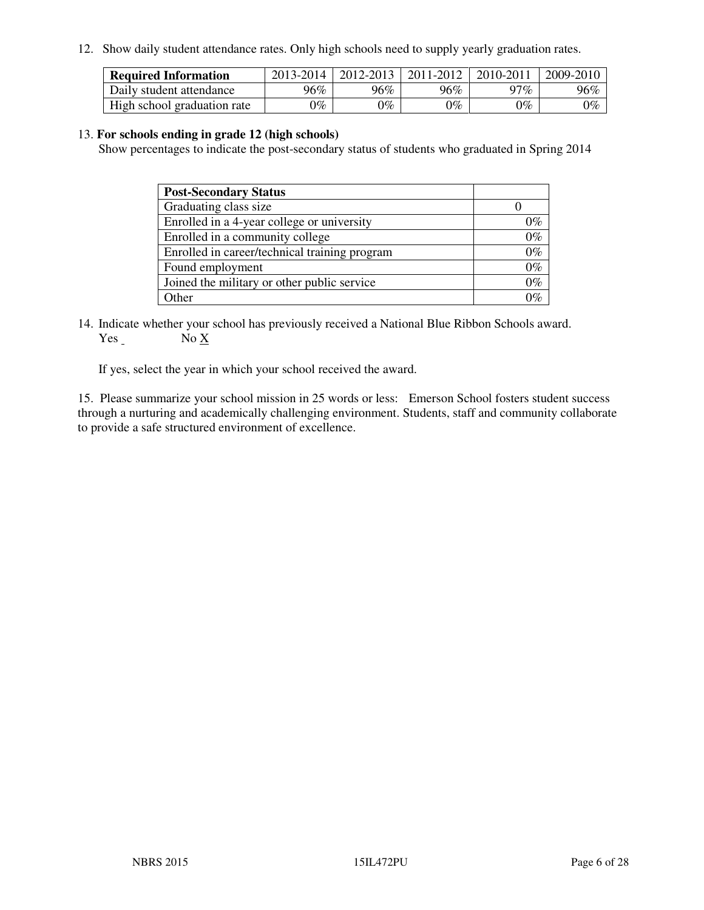12. Show daily student attendance rates. Only high schools need to supply yearly graduation rates.

| <b>Required Information</b> | 2013-2014     | 2012-2013       | 2011-2012 | 2010-2011 | 2009-2010 |
|-----------------------------|---------------|-----------------|-----------|-----------|-----------|
| Daily student attendance    | 96%           | $96\%$          | 96%       | $17\%$    | 96%       |
| High school graduation rate | $\gamma_{\%}$ | $\mathcal{V}_o$ | $0\%$     | 0%        | 0%        |

#### 13. **For schools ending in grade 12 (high schools)**

Show percentages to indicate the post-secondary status of students who graduated in Spring 2014

| <b>Post-Secondary Status</b>                  |       |
|-----------------------------------------------|-------|
| Graduating class size                         |       |
| Enrolled in a 4-year college or university    | በ‰    |
| Enrolled in a community college               | $0\%$ |
| Enrolled in career/technical training program | $0\%$ |
| Found employment                              | $0\%$ |
| Joined the military or other public service   | 0%    |
| Other                                         |       |

14. Indicate whether your school has previously received a National Blue Ribbon Schools award. Yes No X

If yes, select the year in which your school received the award.

15. Please summarize your school mission in 25 words or less: Emerson School fosters student success through a nurturing and academically challenging environment. Students, staff and community collaborate to provide a safe structured environment of excellence.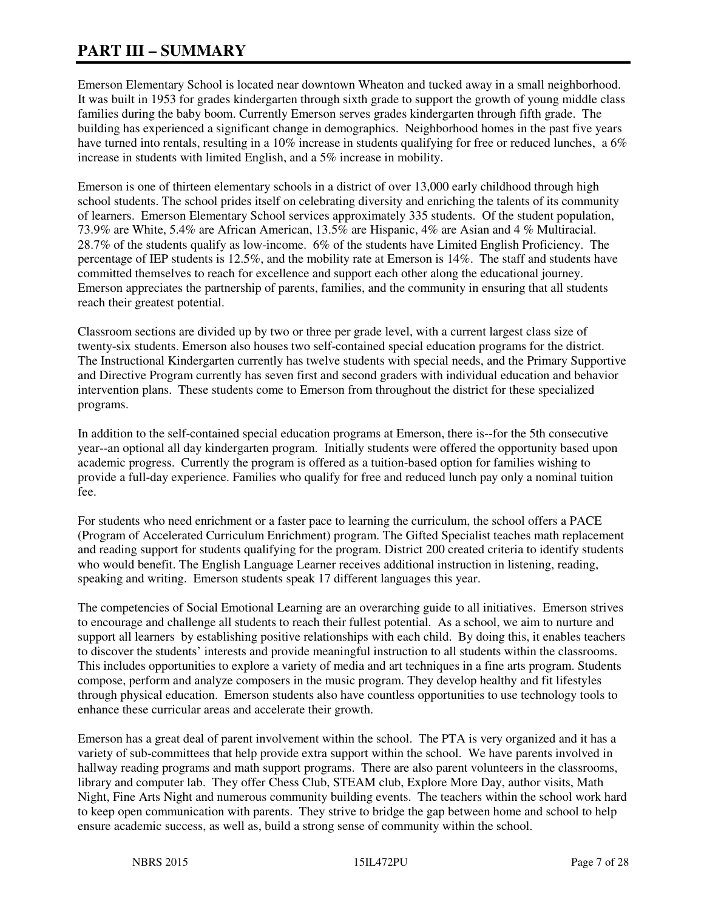# **PART III – SUMMARY**

Emerson Elementary School is located near downtown Wheaton and tucked away in a small neighborhood. It was built in 1953 for grades kindergarten through sixth grade to support the growth of young middle class families during the baby boom. Currently Emerson serves grades kindergarten through fifth grade. The building has experienced a significant change in demographics. Neighborhood homes in the past five years have turned into rentals, resulting in a 10% increase in students qualifying for free or reduced lunches, a 6% increase in students with limited English, and a 5% increase in mobility.

Emerson is one of thirteen elementary schools in a district of over 13,000 early childhood through high school students. The school prides itself on celebrating diversity and enriching the talents of its community of learners. Emerson Elementary School services approximately 335 students. Of the student population, 73.9% are White, 5.4% are African American, 13.5% are Hispanic, 4% are Asian and 4 % Multiracial. 28.7% of the students qualify as low-income. 6% of the students have Limited English Proficiency. The percentage of IEP students is 12.5%, and the mobility rate at Emerson is 14%. The staff and students have committed themselves to reach for excellence and support each other along the educational journey. Emerson appreciates the partnership of parents, families, and the community in ensuring that all students reach their greatest potential.

Classroom sections are divided up by two or three per grade level, with a current largest class size of twenty-six students. Emerson also houses two self-contained special education programs for the district. The Instructional Kindergarten currently has twelve students with special needs, and the Primary Supportive and Directive Program currently has seven first and second graders with individual education and behavior intervention plans. These students come to Emerson from throughout the district for these specialized programs.

In addition to the self-contained special education programs at Emerson, there is--for the 5th consecutive year--an optional all day kindergarten program. Initially students were offered the opportunity based upon academic progress. Currently the program is offered as a tuition-based option for families wishing to provide a full-day experience. Families who qualify for free and reduced lunch pay only a nominal tuition fee.

For students who need enrichment or a faster pace to learning the curriculum, the school offers a PACE (Program of Accelerated Curriculum Enrichment) program. The Gifted Specialist teaches math replacement and reading support for students qualifying for the program. District 200 created criteria to identify students who would benefit. The English Language Learner receives additional instruction in listening, reading, speaking and writing. Emerson students speak 17 different languages this year.

The competencies of Social Emotional Learning are an overarching guide to all initiatives. Emerson strives to encourage and challenge all students to reach their fullest potential. As a school, we aim to nurture and support all learners by establishing positive relationships with each child. By doing this, it enables teachers to discover the students' interests and provide meaningful instruction to all students within the classrooms. This includes opportunities to explore a variety of media and art techniques in a fine arts program. Students compose, perform and analyze composers in the music program. They develop healthy and fit lifestyles through physical education. Emerson students also have countless opportunities to use technology tools to enhance these curricular areas and accelerate their growth.

Emerson has a great deal of parent involvement within the school. The PTA is very organized and it has a variety of sub-committees that help provide extra support within the school. We have parents involved in hallway reading programs and math support programs. There are also parent volunteers in the classrooms, library and computer lab. They offer Chess Club, STEAM club, Explore More Day, author visits, Math Night, Fine Arts Night and numerous community building events. The teachers within the school work hard to keep open communication with parents. They strive to bridge the gap between home and school to help ensure academic success, as well as, build a strong sense of community within the school.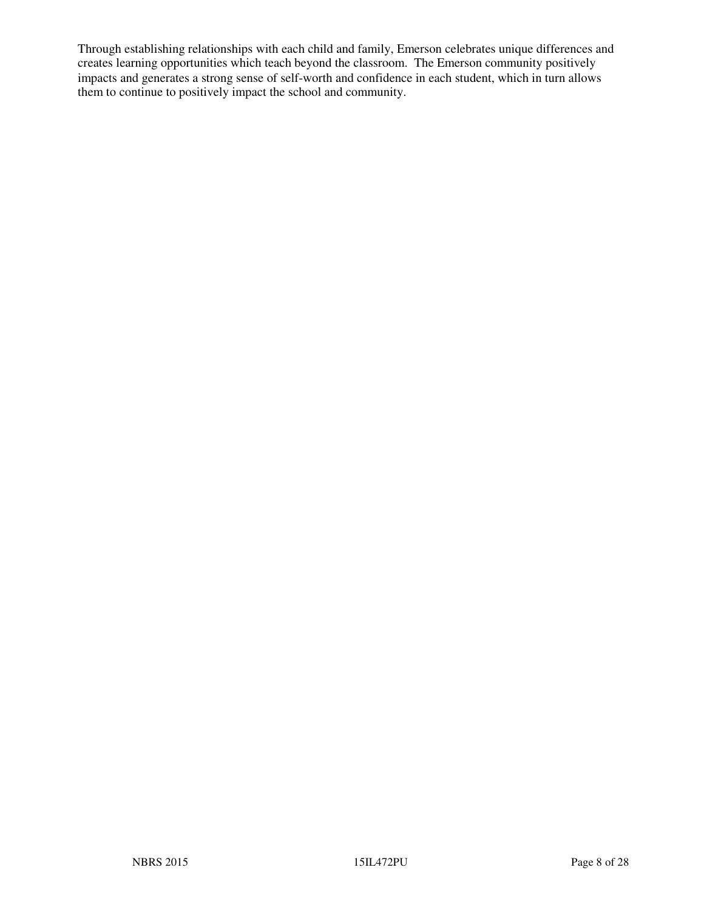Through establishing relationships with each child and family, Emerson celebrates unique differences and creates learning opportunities which teach beyond the classroom. The Emerson community positively impacts and generates a strong sense of self-worth and confidence in each student, which in turn allows them to continue to positively impact the school and community.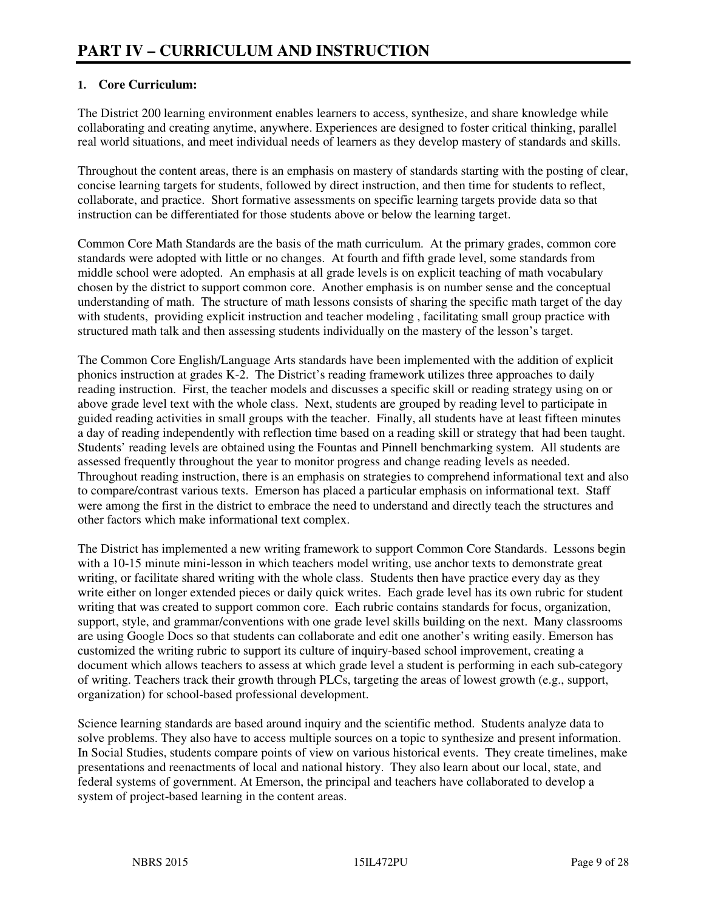#### **1. Core Curriculum:**

The District 200 learning environment enables learners to access, synthesize, and share knowledge while collaborating and creating anytime, anywhere. Experiences are designed to foster critical thinking, parallel real world situations, and meet individual needs of learners as they develop mastery of standards and skills.

Throughout the content areas, there is an emphasis on mastery of standards starting with the posting of clear, concise learning targets for students, followed by direct instruction, and then time for students to reflect, collaborate, and practice. Short formative assessments on specific learning targets provide data so that instruction can be differentiated for those students above or below the learning target.

Common Core Math Standards are the basis of the math curriculum. At the primary grades, common core standards were adopted with little or no changes. At fourth and fifth grade level, some standards from middle school were adopted. An emphasis at all grade levels is on explicit teaching of math vocabulary chosen by the district to support common core. Another emphasis is on number sense and the conceptual understanding of math. The structure of math lessons consists of sharing the specific math target of the day with students, providing explicit instruction and teacher modeling , facilitating small group practice with structured math talk and then assessing students individually on the mastery of the lesson's target.

The Common Core English/Language Arts standards have been implemented with the addition of explicit phonics instruction at grades K-2. The District's reading framework utilizes three approaches to daily reading instruction. First, the teacher models and discusses a specific skill or reading strategy using on or above grade level text with the whole class. Next, students are grouped by reading level to participate in guided reading activities in small groups with the teacher. Finally, all students have at least fifteen minutes a day of reading independently with reflection time based on a reading skill or strategy that had been taught. Students' reading levels are obtained using the Fountas and Pinnell benchmarking system. All students are assessed frequently throughout the year to monitor progress and change reading levels as needed. Throughout reading instruction, there is an emphasis on strategies to comprehend informational text and also to compare/contrast various texts. Emerson has placed a particular emphasis on informational text. Staff were among the first in the district to embrace the need to understand and directly teach the structures and other factors which make informational text complex.

The District has implemented a new writing framework to support Common Core Standards. Lessons begin with a 10-15 minute mini-lesson in which teachers model writing, use anchor texts to demonstrate great writing, or facilitate shared writing with the whole class. Students then have practice every day as they write either on longer extended pieces or daily quick writes. Each grade level has its own rubric for student writing that was created to support common core. Each rubric contains standards for focus, organization, support, style, and grammar/conventions with one grade level skills building on the next. Many classrooms are using Google Docs so that students can collaborate and edit one another's writing easily. Emerson has customized the writing rubric to support its culture of inquiry-based school improvement, creating a document which allows teachers to assess at which grade level a student is performing in each sub-category of writing. Teachers track their growth through PLCs, targeting the areas of lowest growth (e.g., support, organization) for school-based professional development.

Science learning standards are based around inquiry and the scientific method. Students analyze data to solve problems. They also have to access multiple sources on a topic to synthesize and present information. In Social Studies, students compare points of view on various historical events. They create timelines, make presentations and reenactments of local and national history. They also learn about our local, state, and federal systems of government. At Emerson, the principal and teachers have collaborated to develop a system of project-based learning in the content areas.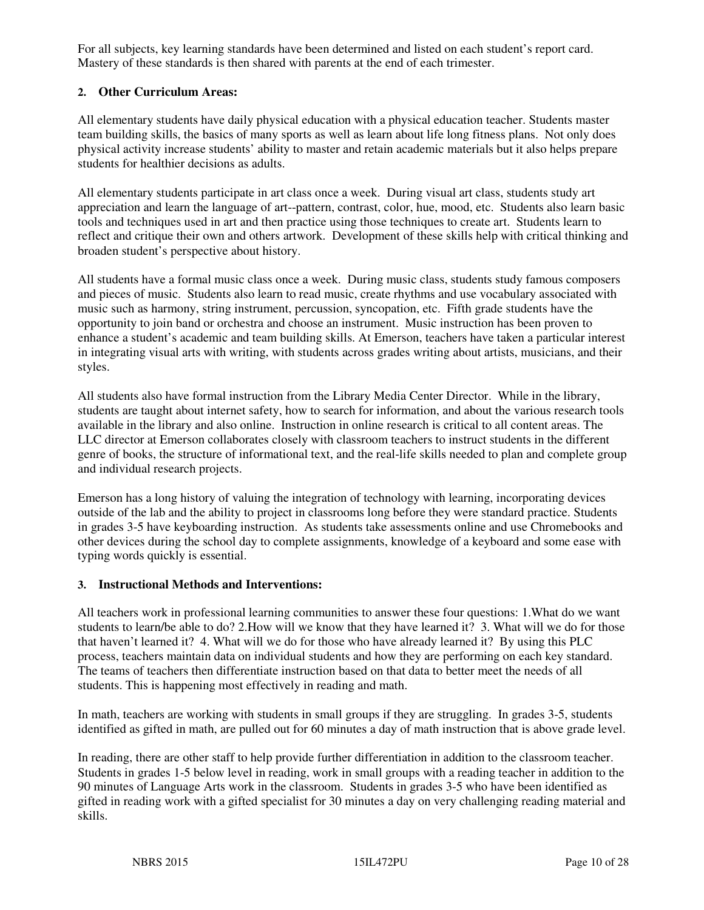For all subjects, key learning standards have been determined and listed on each student's report card. Mastery of these standards is then shared with parents at the end of each trimester.

### **2. Other Curriculum Areas:**

All elementary students have daily physical education with a physical education teacher. Students master team building skills, the basics of many sports as well as learn about life long fitness plans. Not only does physical activity increase students' ability to master and retain academic materials but it also helps prepare students for healthier decisions as adults.

All elementary students participate in art class once a week. During visual art class, students study art appreciation and learn the language of art--pattern, contrast, color, hue, mood, etc. Students also learn basic tools and techniques used in art and then practice using those techniques to create art. Students learn to reflect and critique their own and others artwork. Development of these skills help with critical thinking and broaden student's perspective about history.

All students have a formal music class once a week. During music class, students study famous composers and pieces of music. Students also learn to read music, create rhythms and use vocabulary associated with music such as harmony, string instrument, percussion, syncopation, etc. Fifth grade students have the opportunity to join band or orchestra and choose an instrument. Music instruction has been proven to enhance a student's academic and team building skills. At Emerson, teachers have taken a particular interest in integrating visual arts with writing, with students across grades writing about artists, musicians, and their styles.

All students also have formal instruction from the Library Media Center Director. While in the library, students are taught about internet safety, how to search for information, and about the various research tools available in the library and also online. Instruction in online research is critical to all content areas. The LLC director at Emerson collaborates closely with classroom teachers to instruct students in the different genre of books, the structure of informational text, and the real-life skills needed to plan and complete group and individual research projects.

Emerson has a long history of valuing the integration of technology with learning, incorporating devices outside of the lab and the ability to project in classrooms long before they were standard practice. Students in grades 3-5 have keyboarding instruction. As students take assessments online and use Chromebooks and other devices during the school day to complete assignments, knowledge of a keyboard and some ease with typing words quickly is essential.

#### **3. Instructional Methods and Interventions:**

All teachers work in professional learning communities to answer these four questions: 1.What do we want students to learn/be able to do? 2.How will we know that they have learned it? 3. What will we do for those that haven't learned it? 4. What will we do for those who have already learned it? By using this PLC process, teachers maintain data on individual students and how they are performing on each key standard. The teams of teachers then differentiate instruction based on that data to better meet the needs of all students. This is happening most effectively in reading and math.

In math, teachers are working with students in small groups if they are struggling. In grades 3-5, students identified as gifted in math, are pulled out for 60 minutes a day of math instruction that is above grade level.

In reading, there are other staff to help provide further differentiation in addition to the classroom teacher. Students in grades 1-5 below level in reading, work in small groups with a reading teacher in addition to the 90 minutes of Language Arts work in the classroom. Students in grades 3-5 who have been identified as gifted in reading work with a gifted specialist for 30 minutes a day on very challenging reading material and skills.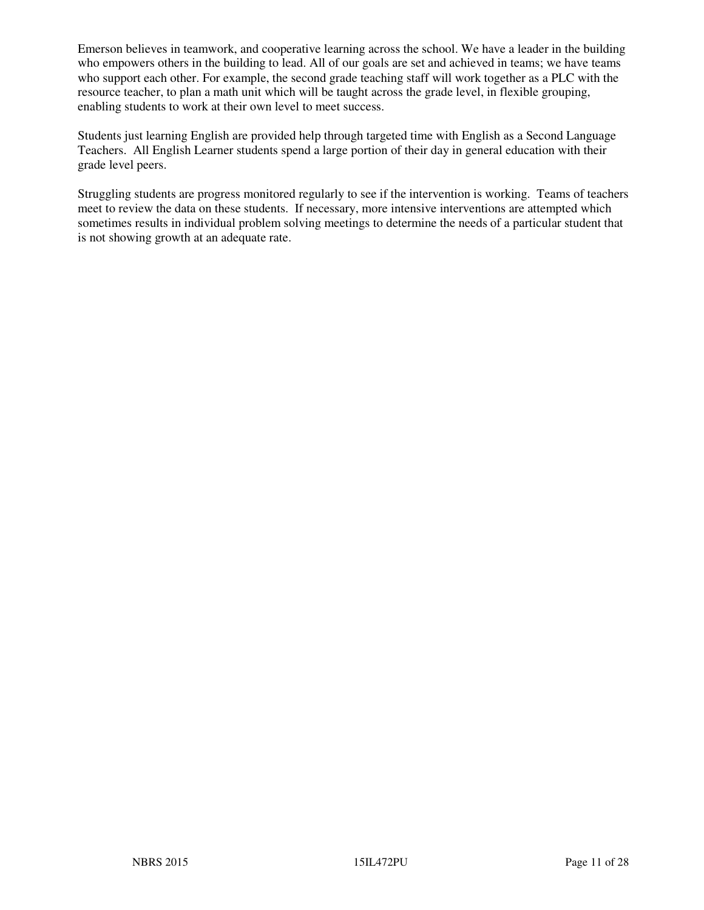Emerson believes in teamwork, and cooperative learning across the school. We have a leader in the building who empowers others in the building to lead. All of our goals are set and achieved in teams; we have teams who support each other. For example, the second grade teaching staff will work together as a PLC with the resource teacher, to plan a math unit which will be taught across the grade level, in flexible grouping, enabling students to work at their own level to meet success.

Students just learning English are provided help through targeted time with English as a Second Language Teachers. All English Learner students spend a large portion of their day in general education with their grade level peers.

Struggling students are progress monitored regularly to see if the intervention is working. Teams of teachers meet to review the data on these students. If necessary, more intensive interventions are attempted which sometimes results in individual problem solving meetings to determine the needs of a particular student that is not showing growth at an adequate rate.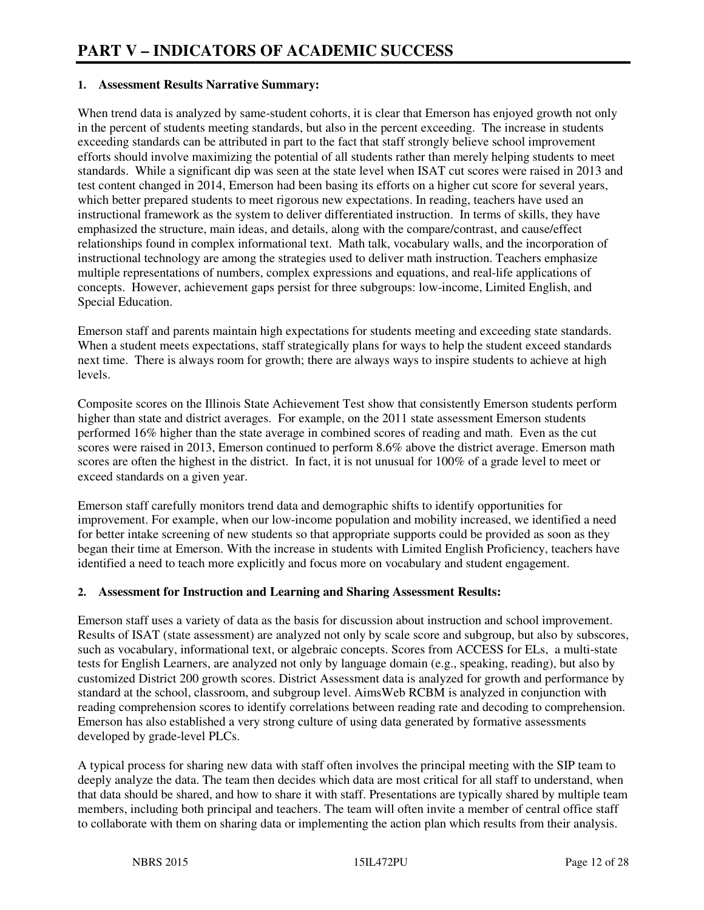#### **1. Assessment Results Narrative Summary:**

When trend data is analyzed by same-student cohorts, it is clear that Emerson has enjoyed growth not only in the percent of students meeting standards, but also in the percent exceeding. The increase in students exceeding standards can be attributed in part to the fact that staff strongly believe school improvement efforts should involve maximizing the potential of all students rather than merely helping students to meet standards. While a significant dip was seen at the state level when ISAT cut scores were raised in 2013 and test content changed in 2014, Emerson had been basing its efforts on a higher cut score for several years, which better prepared students to meet rigorous new expectations. In reading, teachers have used an instructional framework as the system to deliver differentiated instruction. In terms of skills, they have emphasized the structure, main ideas, and details, along with the compare/contrast, and cause/effect relationships found in complex informational text. Math talk, vocabulary walls, and the incorporation of instructional technology are among the strategies used to deliver math instruction. Teachers emphasize multiple representations of numbers, complex expressions and equations, and real-life applications of concepts. However, achievement gaps persist for three subgroups: low-income, Limited English, and Special Education.

Emerson staff and parents maintain high expectations for students meeting and exceeding state standards. When a student meets expectations, staff strategically plans for ways to help the student exceed standards next time. There is always room for growth; there are always ways to inspire students to achieve at high levels.

Composite scores on the Illinois State Achievement Test show that consistently Emerson students perform higher than state and district averages. For example, on the 2011 state assessment Emerson students performed 16% higher than the state average in combined scores of reading and math. Even as the cut scores were raised in 2013, Emerson continued to perform 8.6% above the district average. Emerson math scores are often the highest in the district. In fact, it is not unusual for 100% of a grade level to meet or exceed standards on a given year.

Emerson staff carefully monitors trend data and demographic shifts to identify opportunities for improvement. For example, when our low-income population and mobility increased, we identified a need for better intake screening of new students so that appropriate supports could be provided as soon as they began their time at Emerson. With the increase in students with Limited English Proficiency, teachers have identified a need to teach more explicitly and focus more on vocabulary and student engagement.

#### **2. Assessment for Instruction and Learning and Sharing Assessment Results:**

Emerson staff uses a variety of data as the basis for discussion about instruction and school improvement. Results of ISAT (state assessment) are analyzed not only by scale score and subgroup, but also by subscores, such as vocabulary, informational text, or algebraic concepts. Scores from ACCESS for ELs, a multi-state tests for English Learners, are analyzed not only by language domain (e.g., speaking, reading), but also by customized District 200 growth scores. District Assessment data is analyzed for growth and performance by standard at the school, classroom, and subgroup level. AimsWeb RCBM is analyzed in conjunction with reading comprehension scores to identify correlations between reading rate and decoding to comprehension. Emerson has also established a very strong culture of using data generated by formative assessments developed by grade-level PLCs.

A typical process for sharing new data with staff often involves the principal meeting with the SIP team to deeply analyze the data. The team then decides which data are most critical for all staff to understand, when that data should be shared, and how to share it with staff. Presentations are typically shared by multiple team members, including both principal and teachers. The team will often invite a member of central office staff to collaborate with them on sharing data or implementing the action plan which results from their analysis.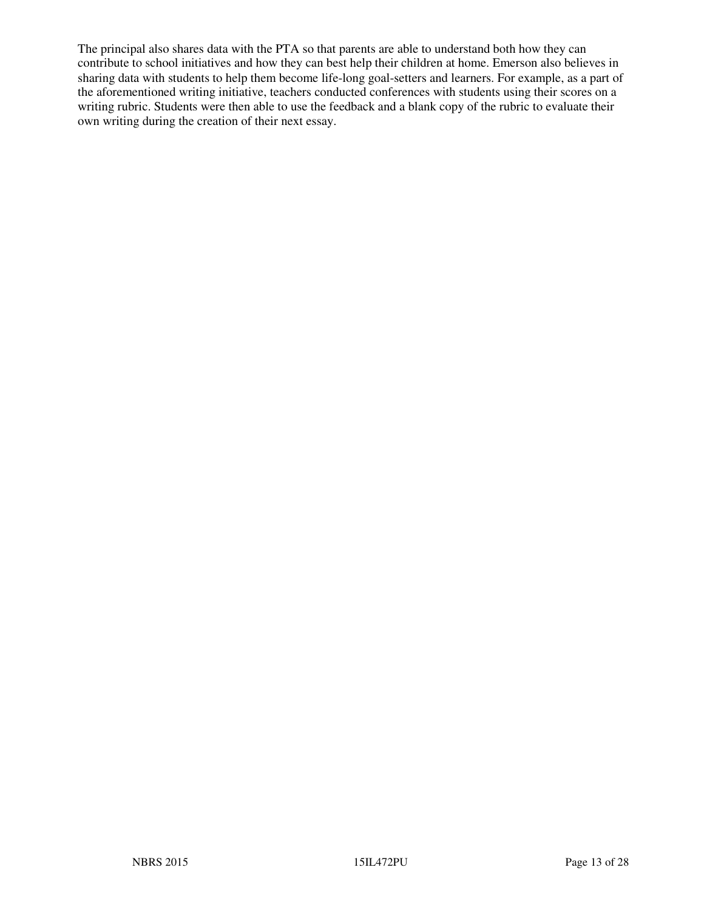The principal also shares data with the PTA so that parents are able to understand both how they can contribute to school initiatives and how they can best help their children at home. Emerson also believes in sharing data with students to help them become life-long goal-setters and learners. For example, as a part of the aforementioned writing initiative, teachers conducted conferences with students using their scores on a writing rubric. Students were then able to use the feedback and a blank copy of the rubric to evaluate their own writing during the creation of their next essay.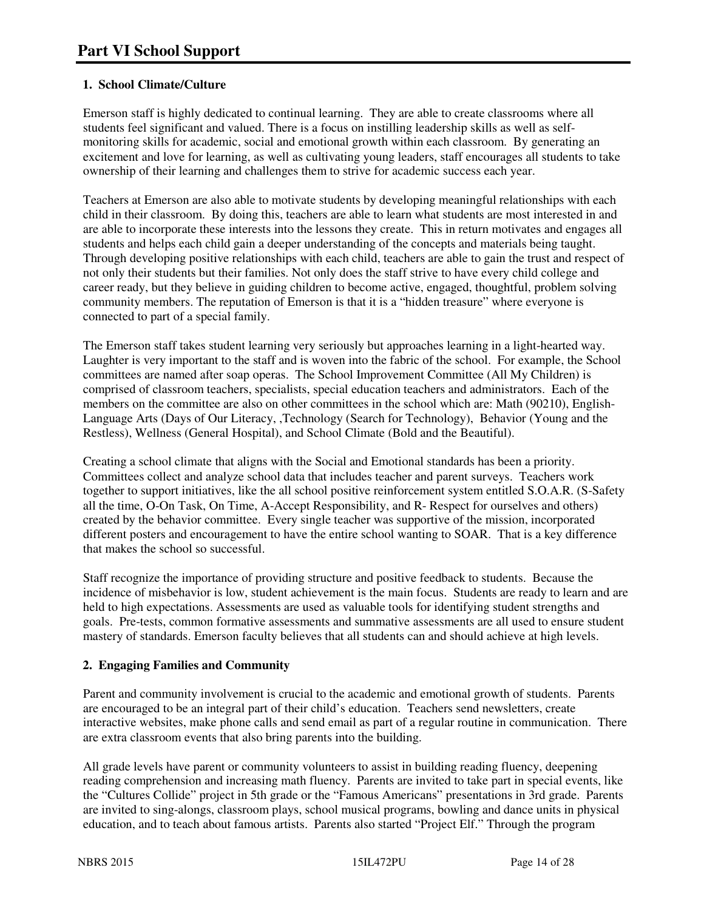### **1. School Climate/Culture**

Emerson staff is highly dedicated to continual learning. They are able to create classrooms where all students feel significant and valued. There is a focus on instilling leadership skills as well as selfmonitoring skills for academic, social and emotional growth within each classroom. By generating an excitement and love for learning, as well as cultivating young leaders, staff encourages all students to take ownership of their learning and challenges them to strive for academic success each year.

Teachers at Emerson are also able to motivate students by developing meaningful relationships with each child in their classroom. By doing this, teachers are able to learn what students are most interested in and are able to incorporate these interests into the lessons they create. This in return motivates and engages all students and helps each child gain a deeper understanding of the concepts and materials being taught. Through developing positive relationships with each child, teachers are able to gain the trust and respect of not only their students but their families. Not only does the staff strive to have every child college and career ready, but they believe in guiding children to become active, engaged, thoughtful, problem solving community members. The reputation of Emerson is that it is a "hidden treasure" where everyone is connected to part of a special family.

The Emerson staff takes student learning very seriously but approaches learning in a light-hearted way. Laughter is very important to the staff and is woven into the fabric of the school. For example, the School committees are named after soap operas. The School Improvement Committee (All My Children) is comprised of classroom teachers, specialists, special education teachers and administrators. Each of the members on the committee are also on other committees in the school which are: Math (90210), English-Language Arts (Days of Our Literacy, ,Technology (Search for Technology), Behavior (Young and the Restless), Wellness (General Hospital), and School Climate (Bold and the Beautiful).

Creating a school climate that aligns with the Social and Emotional standards has been a priority. Committees collect and analyze school data that includes teacher and parent surveys. Teachers work together to support initiatives, like the all school positive reinforcement system entitled S.O.A.R. (S-Safety all the time, O-On Task, On Time, A-Accept Responsibility, and R- Respect for ourselves and others) created by the behavior committee. Every single teacher was supportive of the mission, incorporated different posters and encouragement to have the entire school wanting to SOAR. That is a key difference that makes the school so successful.

Staff recognize the importance of providing structure and positive feedback to students. Because the incidence of misbehavior is low, student achievement is the main focus. Students are ready to learn and are held to high expectations. Assessments are used as valuable tools for identifying student strengths and goals. Pre-tests, common formative assessments and summative assessments are all used to ensure student mastery of standards. Emerson faculty believes that all students can and should achieve at high levels.

#### **2. Engaging Families and Community**

Parent and community involvement is crucial to the academic and emotional growth of students. Parents are encouraged to be an integral part of their child's education. Teachers send newsletters, create interactive websites, make phone calls and send email as part of a regular routine in communication. There are extra classroom events that also bring parents into the building.

All grade levels have parent or community volunteers to assist in building reading fluency, deepening reading comprehension and increasing math fluency. Parents are invited to take part in special events, like the "Cultures Collide" project in 5th grade or the "Famous Americans" presentations in 3rd grade. Parents are invited to sing-alongs, classroom plays, school musical programs, bowling and dance units in physical education, and to teach about famous artists. Parents also started "Project Elf." Through the program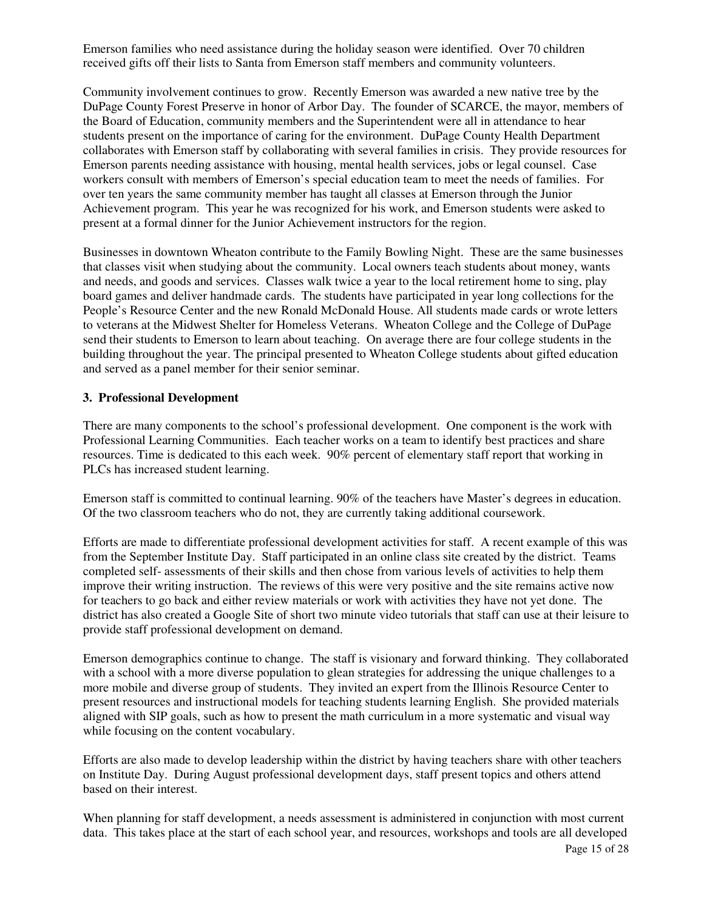Emerson families who need assistance during the holiday season were identified. Over 70 children received gifts off their lists to Santa from Emerson staff members and community volunteers.

Community involvement continues to grow. Recently Emerson was awarded a new native tree by the DuPage County Forest Preserve in honor of Arbor Day. The founder of SCARCE, the mayor, members of the Board of Education, community members and the Superintendent were all in attendance to hear students present on the importance of caring for the environment. DuPage County Health Department collaborates with Emerson staff by collaborating with several families in crisis. They provide resources for Emerson parents needing assistance with housing, mental health services, jobs or legal counsel. Case workers consult with members of Emerson's special education team to meet the needs of families. For over ten years the same community member has taught all classes at Emerson through the Junior Achievement program. This year he was recognized for his work, and Emerson students were asked to present at a formal dinner for the Junior Achievement instructors for the region.

Businesses in downtown Wheaton contribute to the Family Bowling Night. These are the same businesses that classes visit when studying about the community. Local owners teach students about money, wants and needs, and goods and services. Classes walk twice a year to the local retirement home to sing, play board games and deliver handmade cards. The students have participated in year long collections for the People's Resource Center and the new Ronald McDonald House. All students made cards or wrote letters to veterans at the Midwest Shelter for Homeless Veterans. Wheaton College and the College of DuPage send their students to Emerson to learn about teaching. On average there are four college students in the building throughout the year. The principal presented to Wheaton College students about gifted education and served as a panel member for their senior seminar.

#### **3. Professional Development**

There are many components to the school's professional development. One component is the work with Professional Learning Communities. Each teacher works on a team to identify best practices and share resources. Time is dedicated to this each week. 90% percent of elementary staff report that working in PLCs has increased student learning.

Emerson staff is committed to continual learning. 90% of the teachers have Master's degrees in education. Of the two classroom teachers who do not, they are currently taking additional coursework.

Efforts are made to differentiate professional development activities for staff. A recent example of this was from the September Institute Day. Staff participated in an online class site created by the district. Teams completed self- assessments of their skills and then chose from various levels of activities to help them improve their writing instruction. The reviews of this were very positive and the site remains active now for teachers to go back and either review materials or work with activities they have not yet done. The district has also created a Google Site of short two minute video tutorials that staff can use at their leisure to provide staff professional development on demand.

Emerson demographics continue to change. The staff is visionary and forward thinking. They collaborated with a school with a more diverse population to glean strategies for addressing the unique challenges to a more mobile and diverse group of students. They invited an expert from the Illinois Resource Center to present resources and instructional models for teaching students learning English. She provided materials aligned with SIP goals, such as how to present the math curriculum in a more systematic and visual way while focusing on the content vocabulary.

Efforts are also made to develop leadership within the district by having teachers share with other teachers on Institute Day. During August professional development days, staff present topics and others attend based on their interest.

Page 15 of 28 When planning for staff development, a needs assessment is administered in conjunction with most current data. This takes place at the start of each school year, and resources, workshops and tools are all developed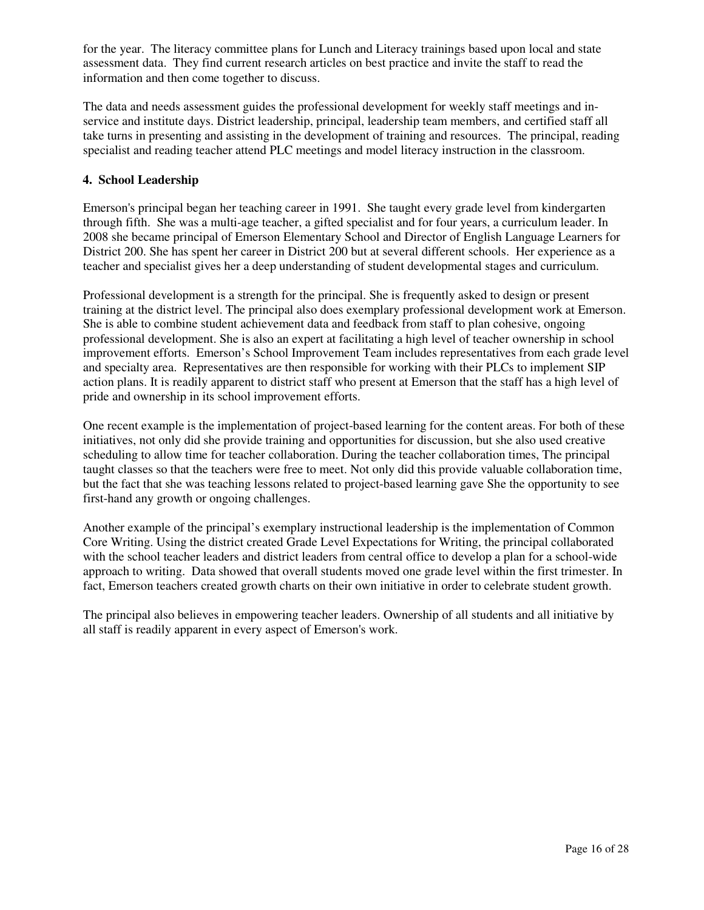for the year. The literacy committee plans for Lunch and Literacy trainings based upon local and state assessment data. They find current research articles on best practice and invite the staff to read the information and then come together to discuss.

The data and needs assessment guides the professional development for weekly staff meetings and inservice and institute days. District leadership, principal, leadership team members, and certified staff all take turns in presenting and assisting in the development of training and resources. The principal, reading specialist and reading teacher attend PLC meetings and model literacy instruction in the classroom.

#### **4. School Leadership**

Emerson's principal began her teaching career in 1991. She taught every grade level from kindergarten through fifth. She was a multi-age teacher, a gifted specialist and for four years, a curriculum leader. In 2008 she became principal of Emerson Elementary School and Director of English Language Learners for District 200. She has spent her career in District 200 but at several different schools. Her experience as a teacher and specialist gives her a deep understanding of student developmental stages and curriculum.

Professional development is a strength for the principal. She is frequently asked to design or present training at the district level. The principal also does exemplary professional development work at Emerson. She is able to combine student achievement data and feedback from staff to plan cohesive, ongoing professional development. She is also an expert at facilitating a high level of teacher ownership in school improvement efforts. Emerson's School Improvement Team includes representatives from each grade level and specialty area. Representatives are then responsible for working with their PLCs to implement SIP action plans. It is readily apparent to district staff who present at Emerson that the staff has a high level of pride and ownership in its school improvement efforts.

One recent example is the implementation of project-based learning for the content areas. For both of these initiatives, not only did she provide training and opportunities for discussion, but she also used creative scheduling to allow time for teacher collaboration. During the teacher collaboration times, The principal taught classes so that the teachers were free to meet. Not only did this provide valuable collaboration time, but the fact that she was teaching lessons related to project-based learning gave She the opportunity to see first-hand any growth or ongoing challenges.

Another example of the principal's exemplary instructional leadership is the implementation of Common Core Writing. Using the district created Grade Level Expectations for Writing, the principal collaborated with the school teacher leaders and district leaders from central office to develop a plan for a school-wide approach to writing. Data showed that overall students moved one grade level within the first trimester. In fact, Emerson teachers created growth charts on their own initiative in order to celebrate student growth.

The principal also believes in empowering teacher leaders. Ownership of all students and all initiative by all staff is readily apparent in every aspect of Emerson's work.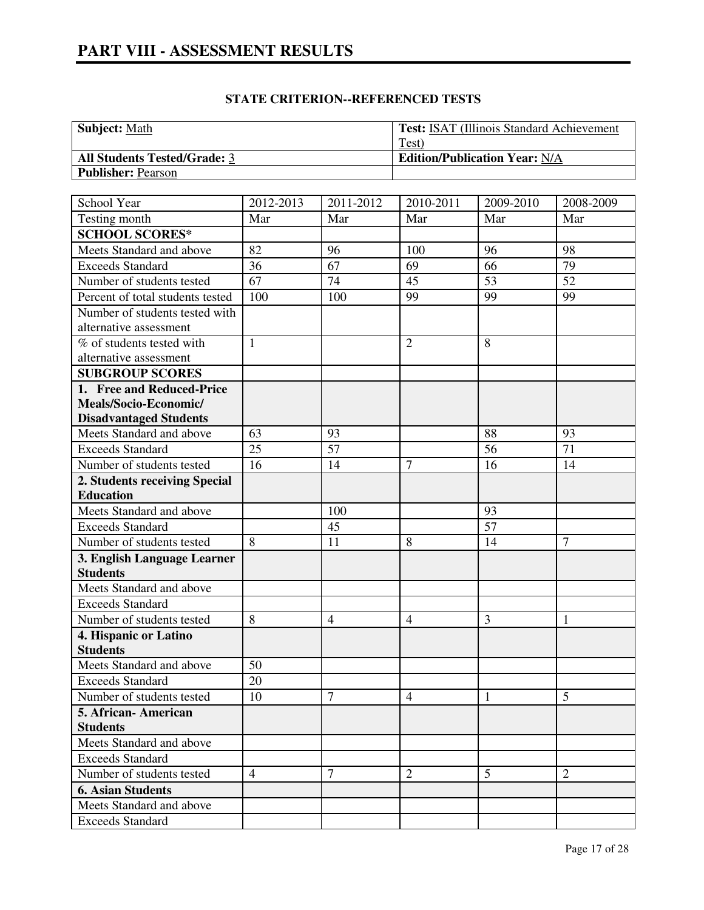| <b>Subject:</b> Math                | <b>Test: ISAT (Illinois Standard Achievement)</b> |
|-------------------------------------|---------------------------------------------------|
|                                     | Test)                                             |
| <b>All Students Tested/Grade: 3</b> | <b>Edition/Publication Year: N/A</b>              |
| <b>Publisher: Pearson</b>           |                                                   |

| School Year                              | 2012-2013       | 2011-2012      | 2010-2011      | 2009-2010 | 2008-2009       |
|------------------------------------------|-----------------|----------------|----------------|-----------|-----------------|
| Testing month                            | Mar             | Mar            | Mar            | Mar       | Mar             |
| <b>SCHOOL SCORES*</b>                    |                 |                |                |           |                 |
| Meets Standard and above                 | 82              | 96             | 100            | 96        | 98              |
| <b>Exceeds Standard</b>                  | 36              | 67             | 69             | 66        | 79              |
| Number of students tested                | $\overline{67}$ | 74             | 45             | 53        | $\overline{52}$ |
| Percent of total students tested         | 100             | 100            | 99             | 99        | 99              |
| Number of students tested with           |                 |                |                |           |                 |
| alternative assessment                   |                 |                |                |           |                 |
| % of students tested with                | $\mathbf{1}$    |                | $\overline{2}$ | 8         |                 |
| alternative assessment                   |                 |                |                |           |                 |
| <b>SUBGROUP SCORES</b>                   |                 |                |                |           |                 |
| 1. Free and Reduced-Price                |                 |                |                |           |                 |
| Meals/Socio-Economic/                    |                 |                |                |           |                 |
| <b>Disadvantaged Students</b>            |                 |                |                |           |                 |
| Meets Standard and above                 | 63              | 93             |                | 88        | 93              |
| <b>Exceeds Standard</b>                  | 25              | 57             |                | 56        | 71              |
| Number of students tested                | 16              | 14             | $\overline{7}$ | 16        | 14              |
| 2. Students receiving Special            |                 |                |                |           |                 |
| <b>Education</b>                         |                 |                |                |           |                 |
| Meets Standard and above                 |                 | 100            |                | 93        |                 |
| <b>Exceeds Standard</b>                  |                 | 45             |                | 57        |                 |
| Number of students tested                | 8               | 11             | 8              | 14        | 7               |
| 3. English Language Learner              |                 |                |                |           |                 |
| <b>Students</b>                          |                 |                |                |           |                 |
| Meets Standard and above                 |                 |                |                |           |                 |
| <b>Exceeds Standard</b>                  |                 |                |                |           |                 |
| Number of students tested                | 8               | $\overline{4}$ | $\overline{4}$ | 3         | 1               |
| 4. Hispanic or Latino<br><b>Students</b> |                 |                |                |           |                 |
| Meets Standard and above                 | 50              |                |                |           |                 |
| <b>Exceeds Standard</b>                  | 20              |                |                |           |                 |
| Number of students tested                | 10              | 7              | $\overline{4}$ | 1         | 5               |
| 5. African-American                      |                 |                |                |           |                 |
| <b>Students</b>                          |                 |                |                |           |                 |
| Meets Standard and above                 |                 |                |                |           |                 |
| <b>Exceeds Standard</b>                  |                 |                |                |           |                 |
| Number of students tested                | $\overline{4}$  | 7              | $\overline{2}$ | 5         | $\overline{2}$  |
| <b>6. Asian Students</b>                 |                 |                |                |           |                 |
| Meets Standard and above                 |                 |                |                |           |                 |
| <b>Exceeds Standard</b>                  |                 |                |                |           |                 |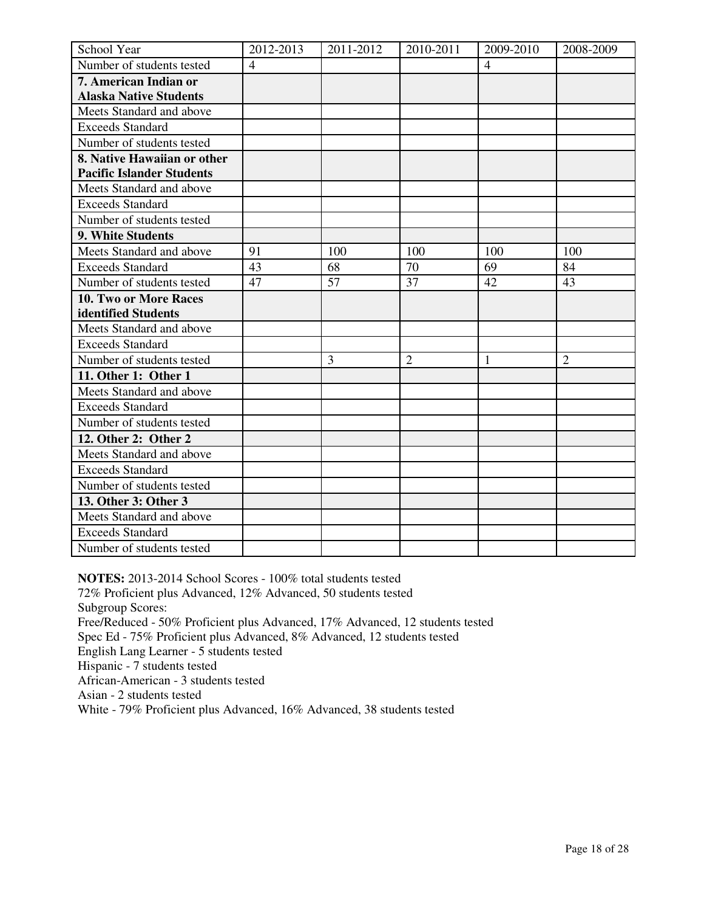| School Year                      | 2012-2013      | 2011-2012 | 2010-2011      | 2009-2010      | 2008-2009      |
|----------------------------------|----------------|-----------|----------------|----------------|----------------|
| Number of students tested        | $\overline{4}$ |           |                | $\overline{4}$ |                |
| 7. American Indian or            |                |           |                |                |                |
| <b>Alaska Native Students</b>    |                |           |                |                |                |
| Meets Standard and above         |                |           |                |                |                |
| <b>Exceeds Standard</b>          |                |           |                |                |                |
| Number of students tested        |                |           |                |                |                |
| 8. Native Hawaiian or other      |                |           |                |                |                |
| <b>Pacific Islander Students</b> |                |           |                |                |                |
| Meets Standard and above         |                |           |                |                |                |
| <b>Exceeds Standard</b>          |                |           |                |                |                |
| Number of students tested        |                |           |                |                |                |
| 9. White Students                |                |           |                |                |                |
| Meets Standard and above         | 91             | 100       | 100            | 100            | 100            |
| <b>Exceeds Standard</b>          | 43             | 68        | 70             | 69             | 84             |
| Number of students tested        | 47             | 57        | 37             | 42             | 43             |
| 10. Two or More Races            |                |           |                |                |                |
| identified Students              |                |           |                |                |                |
| Meets Standard and above         |                |           |                |                |                |
| <b>Exceeds Standard</b>          |                |           |                |                |                |
| Number of students tested        |                | 3         | $\overline{2}$ | 1              | $\overline{2}$ |
| 11. Other 1: Other 1             |                |           |                |                |                |
| Meets Standard and above         |                |           |                |                |                |
| <b>Exceeds Standard</b>          |                |           |                |                |                |
| Number of students tested        |                |           |                |                |                |
| 12. Other 2: Other 2             |                |           |                |                |                |
| Meets Standard and above         |                |           |                |                |                |
| <b>Exceeds Standard</b>          |                |           |                |                |                |
| Number of students tested        |                |           |                |                |                |
| 13. Other 3: Other 3             |                |           |                |                |                |
| Meets Standard and above         |                |           |                |                |                |
| <b>Exceeds Standard</b>          |                |           |                |                |                |
| Number of students tested        |                |           |                |                |                |

**NOTES:** 2013-2014 School Scores - 100% total students tested 72% Proficient plus Advanced, 12% Advanced, 50 students tested Subgroup Scores: Free/Reduced - 50% Proficient plus Advanced, 17% Advanced, 12 students tested Spec Ed - 75% Proficient plus Advanced, 8% Advanced, 12 students tested English Lang Learner - 5 students tested Hispanic - 7 students tested African-American - 3 students tested Asian - 2 students tested White - 79% Proficient plus Advanced, 16% Advanced, 38 students tested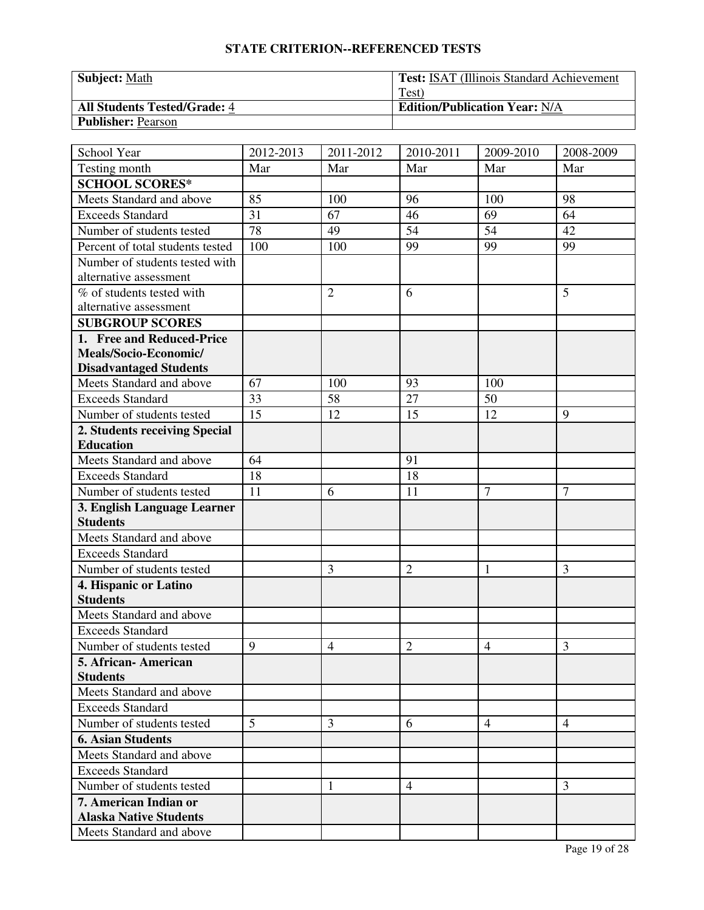| <b>Subject: Math</b>                | <b>Test: ISAT (Illinois Standard Achievement)</b> |
|-------------------------------------|---------------------------------------------------|
|                                     | Test)                                             |
| <b>All Students Tested/Grade: 4</b> | <b>Edition/Publication Year: N/A</b>              |
| <b>Publisher: Pearson</b>           |                                                   |

| School Year                                    | 2012-2013 | 2011-2012      | 2010-2011      | 2009-2010      | 2008-2009      |
|------------------------------------------------|-----------|----------------|----------------|----------------|----------------|
| Testing month                                  | Mar       | Mar            | Mar            | Mar            | Mar            |
| <b>SCHOOL SCORES*</b>                          |           |                |                |                |                |
| Meets Standard and above                       | 85        | 100            | 96             | 100            | 98             |
| <b>Exceeds Standard</b>                        | 31        | 67             | 46             | 69             | 64             |
| Number of students tested                      | 78        | 49             | 54             | 54             | 42             |
| Percent of total students tested               | 100       | 100            | 99             | 99             | 99             |
| Number of students tested with                 |           |                |                |                |                |
| alternative assessment                         |           |                |                |                |                |
| % of students tested with                      |           | $\overline{2}$ | 6              |                | 5              |
| alternative assessment                         |           |                |                |                |                |
| <b>SUBGROUP SCORES</b>                         |           |                |                |                |                |
| 1. Free and Reduced-Price                      |           |                |                |                |                |
| Meals/Socio-Economic/                          |           |                |                |                |                |
| <b>Disadvantaged Students</b>                  |           |                |                |                |                |
| Meets Standard and above                       | 67        | 100            | 93             | 100            |                |
| <b>Exceeds Standard</b>                        | 33        | 58             | 27             | 50             |                |
| Number of students tested                      | 15        | 12             | 15             | 12             | 9              |
| 2. Students receiving Special                  |           |                |                |                |                |
| <b>Education</b>                               | 64        |                |                |                |                |
| Meets Standard and above                       |           |                | 91             |                |                |
| <b>Exceeds Standard</b>                        | 18        |                | 18             |                |                |
| Number of students tested                      | 11        | 6              | 11             | $\overline{7}$ | $\overline{7}$ |
| 3. English Language Learner<br><b>Students</b> |           |                |                |                |                |
| Meets Standard and above                       |           |                |                |                |                |
| <b>Exceeds Standard</b>                        |           |                |                |                |                |
| Number of students tested                      |           | 3              | $\overline{2}$ | 1              | 3              |
| 4. Hispanic or Latino                          |           |                |                |                |                |
| <b>Students</b>                                |           |                |                |                |                |
| Meets Standard and above                       |           |                |                |                |                |
| <b>Exceeds Standard</b>                        |           |                |                |                |                |
| Number of students tested                      | 9         | $\overline{4}$ | $\overline{2}$ | $\overline{4}$ | 3              |
| 5. African- American                           |           |                |                |                |                |
| <b>Students</b>                                |           |                |                |                |                |
| Meets Standard and above                       |           |                |                |                |                |
| <b>Exceeds Standard</b>                        |           |                |                |                |                |
| Number of students tested                      | 5         | 3              | 6              | $\overline{4}$ | $\overline{4}$ |
| <b>6. Asian Students</b>                       |           |                |                |                |                |
| Meets Standard and above                       |           |                |                |                |                |
| <b>Exceeds Standard</b>                        |           |                |                |                |                |
| Number of students tested                      |           | 1              | $\overline{4}$ |                | 3              |
| 7. American Indian or                          |           |                |                |                |                |
| <b>Alaska Native Students</b>                  |           |                |                |                |                |
| Meets Standard and above                       |           |                |                |                |                |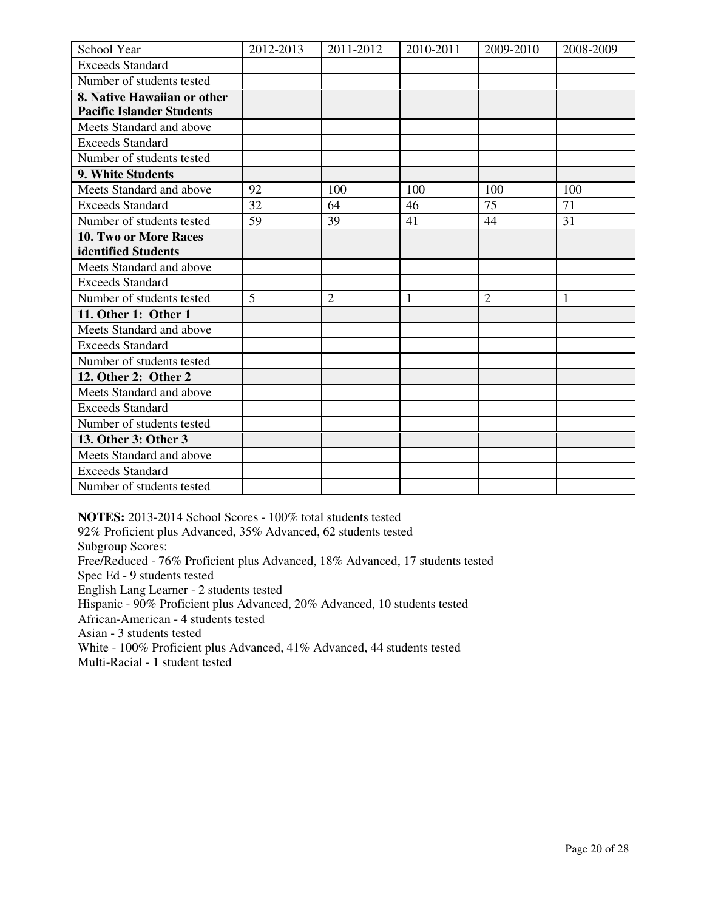| School Year                      | 2012-2013 | 2011-2012      | 2010-2011 | 2009-2010      | 2008-2009 |
|----------------------------------|-----------|----------------|-----------|----------------|-----------|
| <b>Exceeds Standard</b>          |           |                |           |                |           |
| Number of students tested        |           |                |           |                |           |
| 8. Native Hawaiian or other      |           |                |           |                |           |
| <b>Pacific Islander Students</b> |           |                |           |                |           |
| Meets Standard and above         |           |                |           |                |           |
| <b>Exceeds Standard</b>          |           |                |           |                |           |
| Number of students tested        |           |                |           |                |           |
| 9. White Students                |           |                |           |                |           |
| Meets Standard and above         | 92        | 100            | 100       | 100            | 100       |
| <b>Exceeds Standard</b>          | 32        | 64             | 46        | 75             | 71        |
| Number of students tested        | 59        | 39             | 41        | 44             | 31        |
| <b>10. Two or More Races</b>     |           |                |           |                |           |
| <b>identified Students</b>       |           |                |           |                |           |
| Meets Standard and above         |           |                |           |                |           |
| <b>Exceeds Standard</b>          |           |                |           |                |           |
| Number of students tested        | 5         | $\overline{2}$ | 1         | $\overline{2}$ | 1         |
| 11. Other 1: Other 1             |           |                |           |                |           |
| Meets Standard and above         |           |                |           |                |           |
| <b>Exceeds Standard</b>          |           |                |           |                |           |
| Number of students tested        |           |                |           |                |           |
| 12. Other 2: Other 2             |           |                |           |                |           |
| Meets Standard and above         |           |                |           |                |           |
| <b>Exceeds Standard</b>          |           |                |           |                |           |
| Number of students tested        |           |                |           |                |           |
| 13. Other 3: Other 3             |           |                |           |                |           |
| Meets Standard and above         |           |                |           |                |           |
| <b>Exceeds Standard</b>          |           |                |           |                |           |
| Number of students tested        |           |                |           |                |           |

**NOTES:** 2013-2014 School Scores - 100% total students tested

92% Proficient plus Advanced, 35% Advanced, 62 students tested

Subgroup Scores:

Free/Reduced - 76% Proficient plus Advanced, 18% Advanced, 17 students tested

Spec Ed - 9 students tested

English Lang Learner - 2 students tested

Hispanic - 90% Proficient plus Advanced, 20% Advanced, 10 students tested

African-American - 4 students tested

Asian - 3 students tested

White - 100% Proficient plus Advanced, 41% Advanced, 44 students tested

Multi-Racial - 1 student tested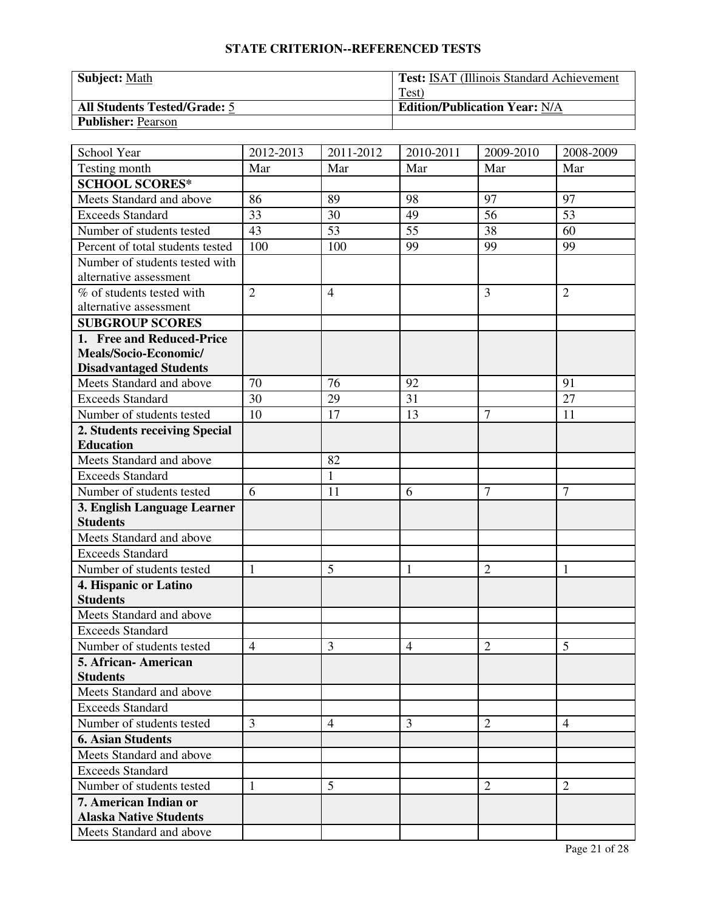| <b>Subject: Math</b>                | <b>Test: ISAT (Illinois Standard Achievement)</b> |
|-------------------------------------|---------------------------------------------------|
|                                     | Test)                                             |
| <b>All Students Tested/Grade: 5</b> | <b>Edition/Publication Year: N/A</b>              |
| <b>Publisher: Pearson</b>           |                                                   |

| School Year                              | 2012-2013      | 2011-2012      | 2010-2011      | 2009-2010      | 2008-2009      |
|------------------------------------------|----------------|----------------|----------------|----------------|----------------|
| Testing month                            | Mar            | Mar            | Mar            | Mar            | Mar            |
| <b>SCHOOL SCORES*</b>                    |                |                |                |                |                |
| Meets Standard and above                 | 86             | 89             | 98             | 97             | 97             |
| <b>Exceeds Standard</b>                  | 33             | 30             | 49             | 56             | 53             |
| Number of students tested                | 43             | 53             | 55             | 38             | 60             |
| Percent of total students tested         | 100            | 100            | 99             | 99             | 99             |
| Number of students tested with           |                |                |                |                |                |
| alternative assessment                   |                |                |                |                |                |
| % of students tested with                | $\overline{2}$ | $\overline{4}$ |                | 3              | $\overline{2}$ |
| alternative assessment                   |                |                |                |                |                |
| <b>SUBGROUP SCORES</b>                   |                |                |                |                |                |
| 1. Free and Reduced-Price                |                |                |                |                |                |
| Meals/Socio-Economic/                    |                |                |                |                |                |
| <b>Disadvantaged Students</b>            |                |                |                |                |                |
| Meets Standard and above                 | 70             | 76             | 92             |                | 91             |
| <b>Exceeds Standard</b>                  | 30             | 29             | 31             |                | 27             |
| Number of students tested                | 10             | 17             | 13             | 7              | 11             |
| 2. Students receiving Special            |                |                |                |                |                |
| <b>Education</b>                         |                |                |                |                |                |
| Meets Standard and above                 |                | 82             |                |                |                |
| <b>Exceeds Standard</b>                  |                | $\mathbf{1}$   |                |                |                |
| Number of students tested                | 6              | 11             | 6              | $\overline{7}$ | 7              |
| 3. English Language Learner              |                |                |                |                |                |
| <b>Students</b>                          |                |                |                |                |                |
| Meets Standard and above                 |                |                |                |                |                |
| <b>Exceeds Standard</b>                  |                |                |                |                |                |
| Number of students tested                | $\mathbf{1}$   | 5              | $\mathbf{1}$   | $\overline{2}$ | $\mathbf{1}$   |
| 4. Hispanic or Latino<br><b>Students</b> |                |                |                |                |                |
| Meets Standard and above                 |                |                |                |                |                |
| <b>Exceeds Standard</b>                  |                |                |                |                |                |
| Number of students tested                | $\overline{4}$ | 3              | $\overline{4}$ | $\overline{2}$ | 5              |
| 5. African- American                     |                |                |                |                |                |
| <b>Students</b>                          |                |                |                |                |                |
| Meets Standard and above                 |                |                |                |                |                |
| <b>Exceeds Standard</b>                  |                |                |                |                |                |
| Number of students tested                | 3              | $\overline{4}$ | 3              | $\overline{2}$ | 4              |
| <b>6. Asian Students</b>                 |                |                |                |                |                |
| Meets Standard and above                 |                |                |                |                |                |
| <b>Exceeds Standard</b>                  |                |                |                |                |                |
| Number of students tested                | 1              | 5              |                | $\overline{2}$ | $\overline{2}$ |
| 7. American Indian or                    |                |                |                |                |                |
| <b>Alaska Native Students</b>            |                |                |                |                |                |
| Meets Standard and above                 |                |                |                |                |                |
|                                          |                |                |                |                |                |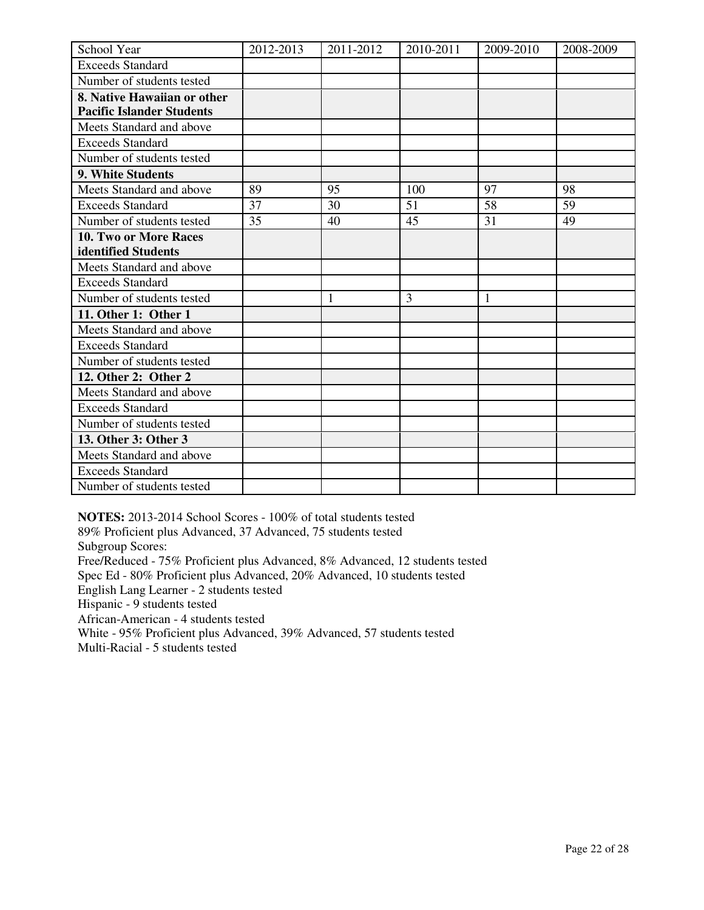| School Year                      | 2012-2013 | 2011-2012 | 2010-2011 | 2009-2010 | 2008-2009 |
|----------------------------------|-----------|-----------|-----------|-----------|-----------|
| <b>Exceeds Standard</b>          |           |           |           |           |           |
| Number of students tested        |           |           |           |           |           |
| 8. Native Hawaiian or other      |           |           |           |           |           |
| <b>Pacific Islander Students</b> |           |           |           |           |           |
| Meets Standard and above         |           |           |           |           |           |
| <b>Exceeds Standard</b>          |           |           |           |           |           |
| Number of students tested        |           |           |           |           |           |
| 9. White Students                |           |           |           |           |           |
| Meets Standard and above         | 89        | 95        | 100       | 97        | 98        |
| <b>Exceeds Standard</b>          | 37        | 30        | 51        | 58        | 59        |
| Number of students tested        | 35        | 40        | 45        | 31        | 49        |
| 10. Two or More Races            |           |           |           |           |           |
| identified Students              |           |           |           |           |           |
| Meets Standard and above         |           |           |           |           |           |
| <b>Exceeds Standard</b>          |           |           |           |           |           |
| Number of students tested        |           | 1         | 3         | 1         |           |
| 11. Other 1: Other 1             |           |           |           |           |           |
| Meets Standard and above         |           |           |           |           |           |
| <b>Exceeds Standard</b>          |           |           |           |           |           |
| Number of students tested        |           |           |           |           |           |
| 12. Other 2: Other 2             |           |           |           |           |           |
| Meets Standard and above         |           |           |           |           |           |
| <b>Exceeds Standard</b>          |           |           |           |           |           |
| Number of students tested        |           |           |           |           |           |
| 13. Other 3: Other 3             |           |           |           |           |           |
| Meets Standard and above         |           |           |           |           |           |
| <b>Exceeds Standard</b>          |           |           |           |           |           |
| Number of students tested        |           |           |           |           |           |

**NOTES:** 2013-2014 School Scores - 100% of total students tested

89% Proficient plus Advanced, 37 Advanced, 75 students tested Subgroup Scores: Free/Reduced - 75% Proficient plus Advanced, 8% Advanced, 12 students tested Spec Ed - 80% Proficient plus Advanced, 20% Advanced, 10 students tested

English Lang Learner - 2 students tested

Hispanic - 9 students tested

African-American - 4 students tested

White - 95% Proficient plus Advanced, 39% Advanced, 57 students tested

Multi-Racial - 5 students tested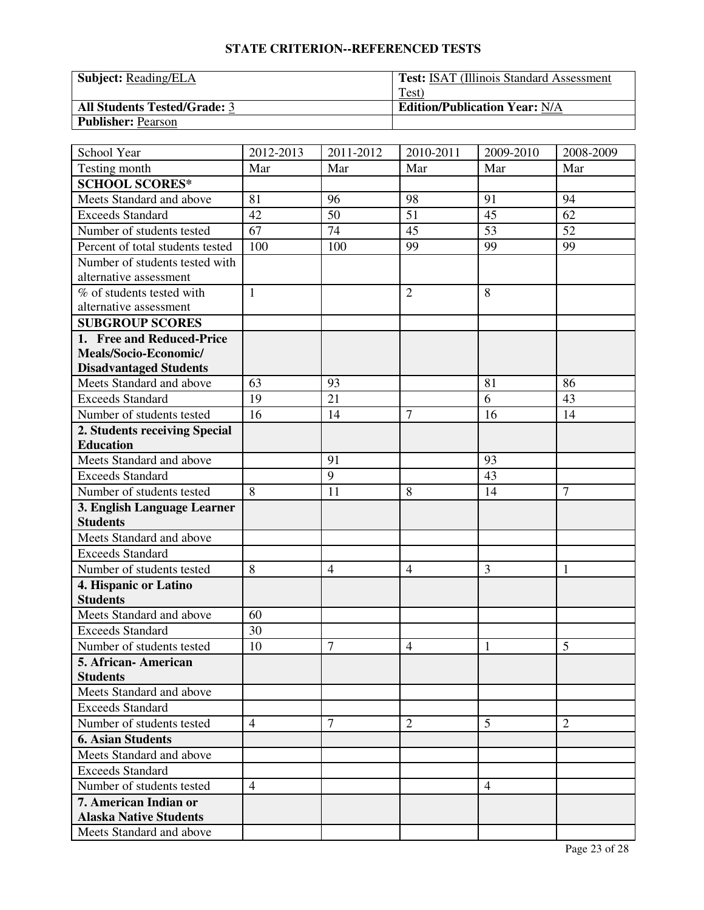| <b>Subject:</b> Reading/ELA         | <b>Test:</b> ISAT (Illinois Standard Assessment) |
|-------------------------------------|--------------------------------------------------|
|                                     | Test)                                            |
| <b>All Students Tested/Grade: 3</b> | <b>Edition/Publication Year: N/A</b>             |
| <b>Publisher: Pearson</b>           |                                                  |

| School Year                      | 2012-2013      | 2011-2012      | 2010-2011      | 2009-2010      | 2008-2009      |
|----------------------------------|----------------|----------------|----------------|----------------|----------------|
| Testing month                    | Mar            | Mar            | Mar            | Mar            | Mar            |
| <b>SCHOOL SCORES*</b>            |                |                |                |                |                |
| Meets Standard and above         | 81             | 96             | 98             | 91             | 94             |
| <b>Exceeds Standard</b>          | 42             | 50             | 51             | 45             | 62             |
| Number of students tested        | 67             | 74             | 45             | 53             | 52             |
| Percent of total students tested | 100            | 100            | 99             | 99             | 99             |
| Number of students tested with   |                |                |                |                |                |
| alternative assessment           |                |                |                |                |                |
| % of students tested with        | $\mathbf{1}$   |                | $\overline{2}$ | 8              |                |
| alternative assessment           |                |                |                |                |                |
| <b>SUBGROUP SCORES</b>           |                |                |                |                |                |
| 1. Free and Reduced-Price        |                |                |                |                |                |
| Meals/Socio-Economic/            |                |                |                |                |                |
| <b>Disadvantaged Students</b>    |                |                |                |                |                |
| Meets Standard and above         | 63             | 93             |                | 81             | 86             |
| <b>Exceeds Standard</b>          | 19             | 21             |                | 6              | 43             |
| Number of students tested        | 16             | 14             | $\overline{7}$ | 16             | 14             |
| 2. Students receiving Special    |                |                |                |                |                |
| <b>Education</b>                 |                |                |                |                |                |
| Meets Standard and above         |                | 91             |                | 93             |                |
| <b>Exceeds Standard</b>          |                | 9              |                | 43             |                |
| Number of students tested        | 8              | 11             | 8              | 14             | $\overline{7}$ |
| 3. English Language Learner      |                |                |                |                |                |
| <b>Students</b>                  |                |                |                |                |                |
| Meets Standard and above         |                |                |                |                |                |
| <b>Exceeds Standard</b>          |                |                |                |                |                |
| Number of students tested        | $\,8\,$        | $\overline{4}$ | $\overline{4}$ | 3              | 1              |
| 4. Hispanic or Latino            |                |                |                |                |                |
| <b>Students</b>                  |                |                |                |                |                |
| Meets Standard and above         | 60             |                |                |                |                |
| <b>Exceeds Standard</b>          | 30             |                |                |                |                |
| Number of students tested        | 10             | 7              | $\overline{4}$ | 1              | 5              |
| 5. African-American              |                |                |                |                |                |
| <b>Students</b>                  |                |                |                |                |                |
| Meets Standard and above         |                |                |                |                |                |
| <b>Exceeds Standard</b>          |                |                |                |                |                |
| Number of students tested        | 4              | 7              | $\overline{2}$ | 5              | 2              |
| <b>6. Asian Students</b>         |                |                |                |                |                |
| Meets Standard and above         |                |                |                |                |                |
| <b>Exceeds Standard</b>          |                |                |                |                |                |
| Number of students tested        | $\overline{4}$ |                |                | $\overline{4}$ |                |
| 7. American Indian or            |                |                |                |                |                |
| <b>Alaska Native Students</b>    |                |                |                |                |                |
| Meets Standard and above         |                |                |                |                |                |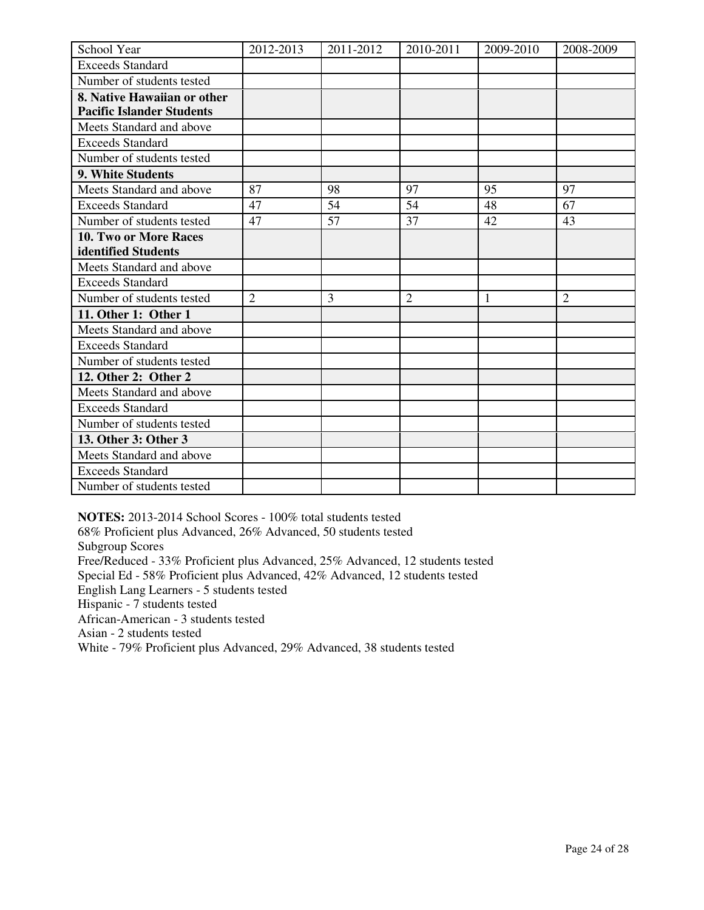| School Year                      | 2012-2013      | 2011-2012 | 2010-2011      | 2009-2010 | 2008-2009      |
|----------------------------------|----------------|-----------|----------------|-----------|----------------|
| <b>Exceeds Standard</b>          |                |           |                |           |                |
| Number of students tested        |                |           |                |           |                |
| 8. Native Hawaiian or other      |                |           |                |           |                |
| <b>Pacific Islander Students</b> |                |           |                |           |                |
| Meets Standard and above         |                |           |                |           |                |
| <b>Exceeds Standard</b>          |                |           |                |           |                |
| Number of students tested        |                |           |                |           |                |
| 9. White Students                |                |           |                |           |                |
| Meets Standard and above         | 87             | 98        | 97             | 95        | 97             |
| <b>Exceeds Standard</b>          | 47             | 54        | 54             | 48        | 67             |
| Number of students tested        | 47             | 57        | 37             | 42        | 43             |
| 10. Two or More Races            |                |           |                |           |                |
| identified Students              |                |           |                |           |                |
| Meets Standard and above         |                |           |                |           |                |
| <b>Exceeds Standard</b>          |                |           |                |           |                |
| Number of students tested        | $\overline{2}$ | 3         | $\overline{2}$ | 1         | $\overline{2}$ |
| 11. Other 1: Other 1             |                |           |                |           |                |
| Meets Standard and above         |                |           |                |           |                |
| <b>Exceeds Standard</b>          |                |           |                |           |                |
| Number of students tested        |                |           |                |           |                |
| 12. Other 2: Other 2             |                |           |                |           |                |
| Meets Standard and above         |                |           |                |           |                |
| <b>Exceeds Standard</b>          |                |           |                |           |                |
| Number of students tested        |                |           |                |           |                |
| 13. Other 3: Other 3             |                |           |                |           |                |
| Meets Standard and above         |                |           |                |           |                |
| <b>Exceeds Standard</b>          |                |           |                |           |                |
| Number of students tested        |                |           |                |           |                |

**NOTES:** 2013-2014 School Scores - 100% total students tested

68% Proficient plus Advanced, 26% Advanced, 50 students tested Subgroup Scores Free/Reduced - 33% Proficient plus Advanced, 25% Advanced, 12 students tested Special Ed - 58% Proficient plus Advanced, 42% Advanced, 12 students tested English Lang Learners - 5 students tested Hispanic - 7 students tested African-American - 3 students tested Asian - 2 students tested

White - 79% Proficient plus Advanced, 29% Advanced, 38 students tested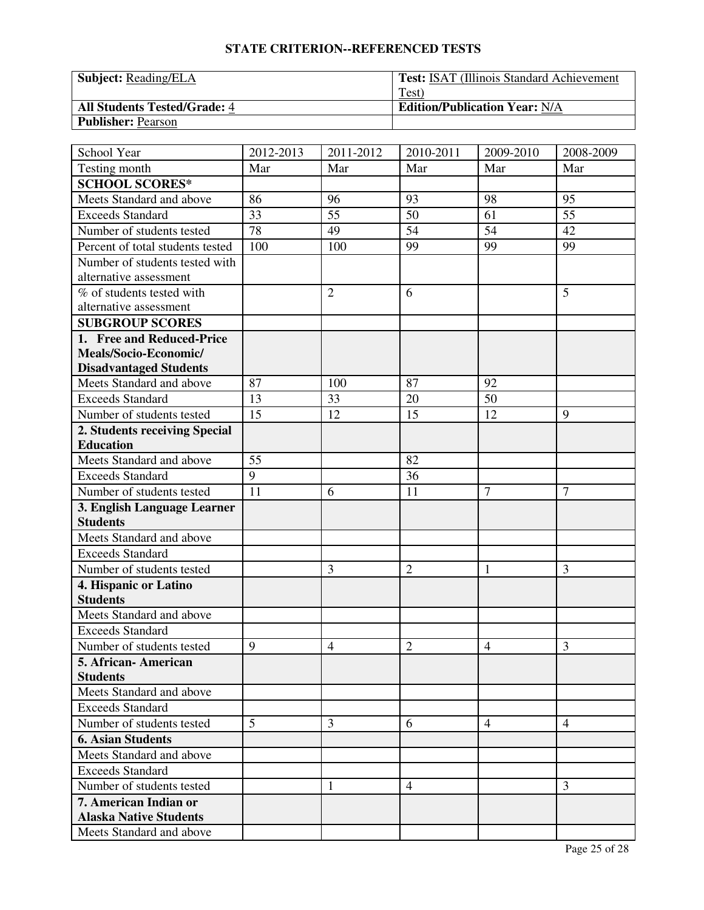| <b>Subject:</b> Reading/ELA         | <b>Test: ISAT (Illinois Standard Achievement)</b> |
|-------------------------------------|---------------------------------------------------|
|                                     | Test)                                             |
| <b>All Students Tested/Grade: 4</b> | <b>Edition/Publication Year: N/A</b>              |
| <b>Publisher: Pearson</b>           |                                                   |

| School Year                            | 2012-2013 | 2011-2012      | 2010-2011      | 2009-2010      | 2008-2009       |
|----------------------------------------|-----------|----------------|----------------|----------------|-----------------|
| Testing month                          | Mar       | Mar            | Mar            | Mar            | Mar             |
| <b>SCHOOL SCORES*</b>                  |           |                |                |                |                 |
| Meets Standard and above               | 86        | 96             | 93             | 98             | 95              |
| <b>Exceeds Standard</b>                | 33        | 55             | 50             | 61             | $\overline{55}$ |
| Number of students tested              | 78        | 49             | 54             | 54             | 42              |
| Percent of total students tested       | 100       | 100            | 99             | 99             | 99              |
| Number of students tested with         |           |                |                |                |                 |
| alternative assessment                 |           |                |                |                |                 |
| % of students tested with              |           | $\overline{2}$ | 6              |                | 5               |
| alternative assessment                 |           |                |                |                |                 |
| <b>SUBGROUP SCORES</b>                 |           |                |                |                |                 |
| 1. Free and Reduced-Price              |           |                |                |                |                 |
| Meals/Socio-Economic/                  |           |                |                |                |                 |
| <b>Disadvantaged Students</b>          |           |                |                |                |                 |
| Meets Standard and above               | 87        | 100            | 87             | 92             |                 |
| <b>Exceeds Standard</b>                | 13        | 33             | 20             | 50             |                 |
| Number of students tested              | 15        | 12             | 15             | 12             | 9               |
| 2. Students receiving Special          |           |                |                |                |                 |
| <b>Education</b>                       |           |                |                |                |                 |
| Meets Standard and above               | 55        |                | 82             |                |                 |
| <b>Exceeds Standard</b>                | 9         |                | 36             |                |                 |
| Number of students tested              | 11        | 6              | 11             | $\overline{7}$ | $\overline{7}$  |
| 3. English Language Learner            |           |                |                |                |                 |
| <b>Students</b>                        |           |                |                |                |                 |
| Meets Standard and above               |           |                |                |                |                 |
| <b>Exceeds Standard</b>                |           |                |                |                |                 |
| Number of students tested              |           | 3              | $\overline{2}$ | 1              | 3               |
| 4. Hispanic or Latino                  |           |                |                |                |                 |
| <b>Students</b>                        |           |                |                |                |                 |
| Meets Standard and above               |           |                |                |                |                 |
| <b>Exceeds Standard</b>                |           |                |                |                |                 |
| Number of students tested              | 9         | $\overline{4}$ | $\overline{2}$ | $\overline{4}$ | $\overline{3}$  |
| 5. African-American<br><b>Students</b> |           |                |                |                |                 |
| Meets Standard and above               |           |                |                |                |                 |
| <b>Exceeds Standard</b>                |           |                |                |                |                 |
| Number of students tested              | 5         | 3              | 6              | $\overline{4}$ | 4               |
| <b>6. Asian Students</b>               |           |                |                |                |                 |
| Meets Standard and above               |           |                |                |                |                 |
| <b>Exceeds Standard</b>                |           |                |                |                |                 |
| Number of students tested              |           |                | $\overline{4}$ |                | 3               |
| 7. American Indian or                  |           | 1              |                |                |                 |
| <b>Alaska Native Students</b>          |           |                |                |                |                 |
| Meets Standard and above               |           |                |                |                |                 |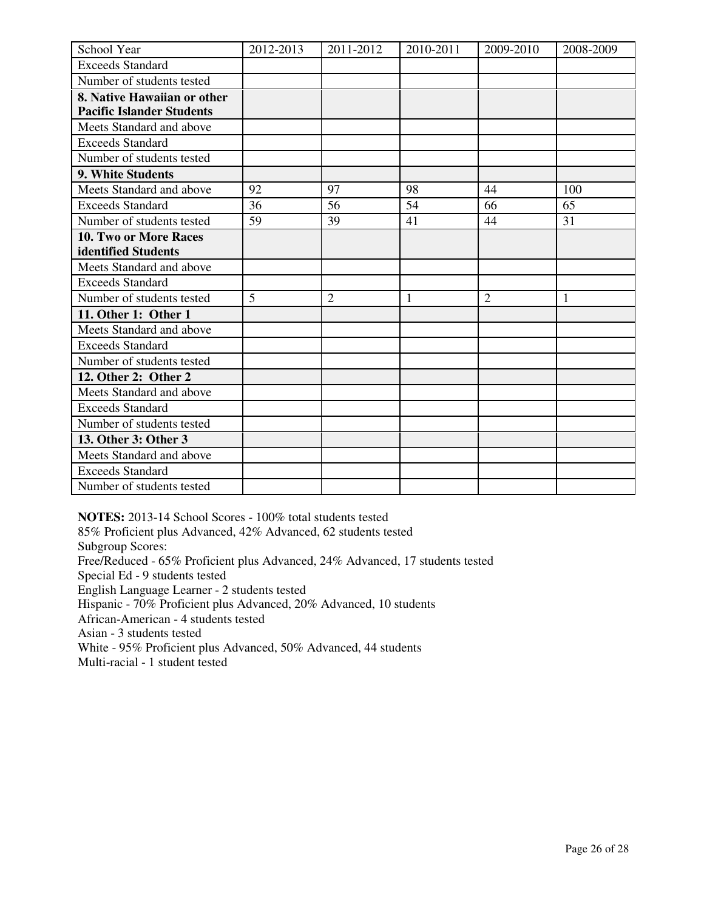| School Year                      | 2012-2013 | 2011-2012      | 2010-2011 | 2009-2010      | 2008-2009 |
|----------------------------------|-----------|----------------|-----------|----------------|-----------|
| <b>Exceeds Standard</b>          |           |                |           |                |           |
| Number of students tested        |           |                |           |                |           |
| 8. Native Hawaiian or other      |           |                |           |                |           |
| <b>Pacific Islander Students</b> |           |                |           |                |           |
| Meets Standard and above         |           |                |           |                |           |
| <b>Exceeds Standard</b>          |           |                |           |                |           |
| Number of students tested        |           |                |           |                |           |
| 9. White Students                |           |                |           |                |           |
| Meets Standard and above         | 92        | 97             | 98        | 44             | 100       |
| <b>Exceeds Standard</b>          | 36        | 56             | 54        | 66             | 65        |
| Number of students tested        | 59        | 39             | 41        | 44             | 31        |
| <b>10. Two or More Races</b>     |           |                |           |                |           |
| identified Students              |           |                |           |                |           |
| Meets Standard and above         |           |                |           |                |           |
| <b>Exceeds Standard</b>          |           |                |           |                |           |
| Number of students tested        | 5         | $\overline{2}$ | 1         | $\overline{2}$ | 1         |
| 11. Other 1: Other 1             |           |                |           |                |           |
| Meets Standard and above         |           |                |           |                |           |
| <b>Exceeds Standard</b>          |           |                |           |                |           |
| Number of students tested        |           |                |           |                |           |
| 12. Other 2: Other 2             |           |                |           |                |           |
| Meets Standard and above         |           |                |           |                |           |
| <b>Exceeds Standard</b>          |           |                |           |                |           |
| Number of students tested        |           |                |           |                |           |
| 13. Other 3: Other 3             |           |                |           |                |           |
| Meets Standard and above         |           |                |           |                |           |
| <b>Exceeds Standard</b>          |           |                |           |                |           |
| Number of students tested        |           |                |           |                |           |

**NOTES:** 2013-14 School Scores - 100% total students tested

85% Proficient plus Advanced, 42% Advanced, 62 students tested

Subgroup Scores:

Free/Reduced - 65% Proficient plus Advanced, 24% Advanced, 17 students tested

Special Ed - 9 students tested

English Language Learner - 2 students tested

Hispanic - 70% Proficient plus Advanced, 20% Advanced, 10 students

African-American - 4 students tested

Asian - 3 students tested

White - 95% Proficient plus Advanced, 50% Advanced, 44 students

Multi-racial - 1 student tested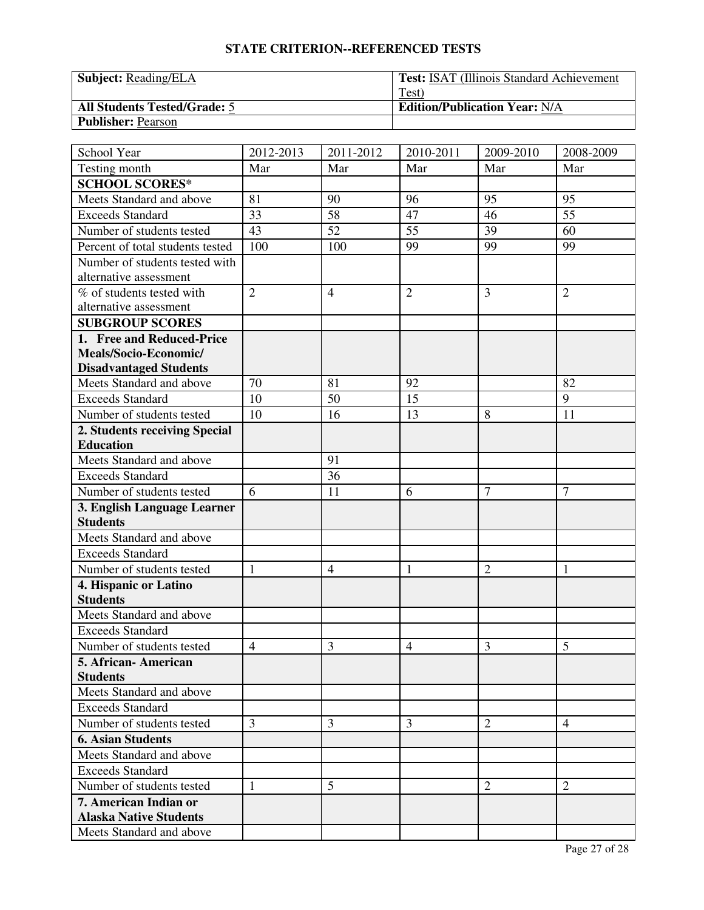| <b>Subject:</b> Reading/ELA         | <b>Test: ISAT (Illinois Standard Achievement)</b> |
|-------------------------------------|---------------------------------------------------|
|                                     | Test)                                             |
| <b>All Students Tested/Grade: 5</b> | <b>Edition/Publication Year: N/A</b>              |
| <b>Publisher: Pearson</b>           |                                                   |

| School Year                              | 2012-2013      | 2011-2012      | 2010-2011      | 2009-2010      | 2008-2009       |
|------------------------------------------|----------------|----------------|----------------|----------------|-----------------|
| Testing month                            | Mar            | Mar            | Mar            | Mar            | Mar             |
| <b>SCHOOL SCORES*</b>                    |                |                |                |                |                 |
| Meets Standard and above                 | 81             | 90             | 96             | 95             | 95              |
| <b>Exceeds Standard</b>                  | 33             | 58             | 47             | 46             | $\overline{55}$ |
| Number of students tested                | 43             | 52             | 55             | 39             | 60              |
| Percent of total students tested         | 100            | 100            | 99             | 99             | 99              |
| Number of students tested with           |                |                |                |                |                 |
| alternative assessment                   |                |                |                |                |                 |
| % of students tested with                | $\overline{2}$ | $\overline{4}$ | $\overline{2}$ | 3              | $\overline{2}$  |
| alternative assessment                   |                |                |                |                |                 |
| <b>SUBGROUP SCORES</b>                   |                |                |                |                |                 |
| 1. Free and Reduced-Price                |                |                |                |                |                 |
| Meals/Socio-Economic/                    |                |                |                |                |                 |
| <b>Disadvantaged Students</b>            |                |                |                |                |                 |
| Meets Standard and above                 | 70             | 81             | 92             |                | 82              |
| <b>Exceeds Standard</b>                  | 10             | 50             | 15             |                | 9               |
| Number of students tested                | 10             | 16             | 13             | 8              | 11              |
| 2. Students receiving Special            |                |                |                |                |                 |
| <b>Education</b>                         |                |                |                |                |                 |
| Meets Standard and above                 |                | 91             |                |                |                 |
| <b>Exceeds Standard</b>                  |                | 36             |                |                |                 |
| Number of students tested                | 6              | 11             | 6              | $\overline{7}$ | $\overline{7}$  |
| 3. English Language Learner              |                |                |                |                |                 |
| <b>Students</b>                          |                |                |                |                |                 |
| Meets Standard and above                 |                |                |                |                |                 |
| <b>Exceeds Standard</b>                  |                |                |                |                |                 |
| Number of students tested                | 1              | $\overline{4}$ | 1              | $\overline{2}$ | 1               |
| 4. Hispanic or Latino<br><b>Students</b> |                |                |                |                |                 |
| Meets Standard and above                 |                |                |                |                |                 |
| <b>Exceeds Standard</b>                  |                |                |                |                |                 |
|                                          | $\overline{4}$ | 3              |                | 3              | 5               |
| Number of students tested                |                |                | $\overline{4}$ |                |                 |
| 5. African-American<br><b>Students</b>   |                |                |                |                |                 |
| Meets Standard and above                 |                |                |                |                |                 |
| <b>Exceeds Standard</b>                  |                |                |                |                |                 |
| Number of students tested                | 3              | 3              | 3              | $\overline{2}$ | 4               |
| <b>6. Asian Students</b>                 |                |                |                |                |                 |
| Meets Standard and above                 |                |                |                |                |                 |
| <b>Exceeds Standard</b>                  |                |                |                |                |                 |
| Number of students tested                | 1              | 5              |                | $\overline{2}$ | $\overline{2}$  |
| 7. American Indian or                    |                |                |                |                |                 |
| <b>Alaska Native Students</b>            |                |                |                |                |                 |
| Meets Standard and above                 |                |                |                |                |                 |
|                                          |                |                |                |                |                 |